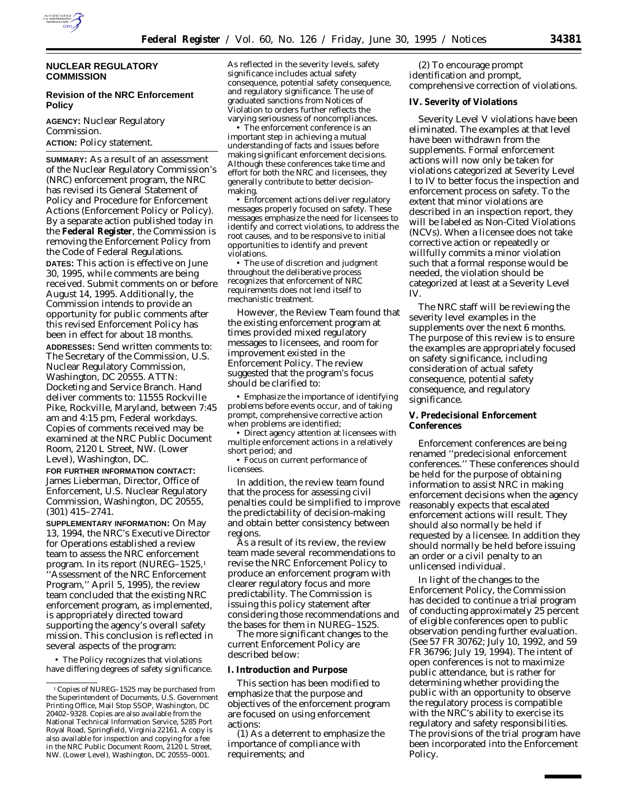

# **NUCLEAR REGULATORY COMMISSION**

# **Revision of the NRC Enforcement Policy**

**AGENCY:** Nuclear Regulatory Commission. **ACTION:** Policy statement.

**SUMMARY:** As a result of an assessment of the Nuclear Regulatory Commission's (NRC) enforcement program, the NRC has revised its General Statement of Policy and Procedure for Enforcement Actions (Enforcement Policy or Policy). By a separate action published today in the **Federal Register**, the Commission is removing the Enforcement Policy from the Code of Federal Regulations. **DATES:** This action is effective on June 30, 1995, while comments are being received. Submit comments on or before August 14, 1995. Additionally, the Commission intends to provide an opportunity for public comments after this revised Enforcement Policy has been in effect for about 18 months.

**ADDRESSES:** Send written comments to: The Secretary of the Commission, U.S. Nuclear Regulatory Commission, Washington, DC 20555. ATTN: Docketing and Service Branch. Hand deliver comments to: 11555 Rockville Pike, Rockville, Maryland, between 7:45 am and 4:15 pm, Federal workdays. Copies of comments received may be examined at the NRC Public Document Room, 2120 L Street, NW. (Lower Level), Washington, DC.

**FOR FURTHER INFORMATION CONTACT:** James Lieberman, Director, Office of Enforcement, U.S. Nuclear Regulatory Commission, Washington, DC 20555, (301) 415–2741.

**SUPPLEMENTARY INFORMATION:** On May 13, 1994, the NRC's Executive Director for Operations established a review team to assess the NRC enforcement program. In its report (NUREG-1525,<sup>1</sup>) 'Assessment of the NRC Enforcement Program,'' April 5, 1995), the review team concluded that the existing NRC enforcement program, as implemented, is appropriately directed toward supporting the agency's overall safety mission. This conclusion is reflected in several aspects of the program:

• The Policy recognizes that violations have differing degrees of safety significance. As reflected in the severity levels, safety significance includes actual safety consequence, potential safety consequence, and regulatory significance. The use of graduated sanctions from Notices of Violation to orders further reflects the varying seriousness of noncompliances.

• The enforcement conference is an important step in achieving a mutual understanding of facts and issues before making significant enforcement decisions. Although these conferences take time and effort for both the NRC and licensees, they generally contribute to better decisionmaking.

• Enforcement actions deliver regulatory messages properly focused on safety. These messages emphasize the need for licensees to identify and correct violations, to address the root causes, and to be responsive to initial opportunities to identify and prevent violations.

• The use of discretion and judgment throughout the deliberative process recognizes that enforcement of NRC requirements does not lend itself to mechanistic treatment.

However, the Review Team found that the existing enforcement program at times provided mixed regulatory messages to licensees, and room for improvement existed in the Enforcement Policy. The review suggested that the program's focus should be clarified to:

• Emphasize the importance of identifying problems before events occur, and of taking prompt, comprehensive corrective action when problems are identified;

• Direct agency attention at licensees with multiple enforcement actions in a relatively short period; and

• Focus on current performance of licensees.

In addition, the review team found that the process for assessing civil penalties could be simplified to improve the predictability of decision-making and obtain better consistency between regions.

As a result of its review, the review team made several recommendations to revise the NRC Enforcement Policy to produce an enforcement program with clearer regulatory focus and more predictability. The Commission is issuing this policy statement after considering those recommendations and the bases for them in NUREG–1525.

The more significant changes to the current Enforcement Policy are described below:

### **I. Introduction and Purpose**

This section has been modified to emphasize that the purpose and objectives of the enforcement program are focused on using enforcement actions:

(1) As a deterrent to emphasize the importance of compliance with requirements; and

(2) To encourage prompt identification and prompt, comprehensive correction of violations.

### **IV. Severity of Violations**

Severity Level V violations have been eliminated. The examples at that level have been withdrawn from the supplements. Formal enforcement actions will now only be taken for violations categorized at Severity Level I to IV to better focus the inspection and enforcement process on safety. To the extent that minor violations are described in an inspection report, they will be labeled as Non-Cited Violations (NCVs). When a licensee does not take corrective action or repeatedly or willfully commits a minor violation such that a formal response would be needed, the violation should be categorized at least at a Severity Level IV.

The NRC staff will be reviewing the severity level examples in the supplements over the next 6 months. The purpose of this review is to ensure the examples are appropriately focused on safety significance, including consideration of actual safety consequence, potential safety consequence, and regulatory significance.

### **V. Predecisional Enforcement Conferences**

Enforcement conferences are being renamed ''predecisional enforcement conferences.'' These conferences should be held for the purpose of obtaining information to assist NRC in making enforcement decisions when the agency reasonably expects that escalated enforcement actions will result. They should also normally be held if requested by a licensee. In addition they should normally be held before issuing an order or a civil penalty to an unlicensed individual.

In light of the changes to the Enforcement Policy, the Commission has decided to continue a trial program of conducting approximately 25 percent of eligible conferences open to public observation pending further evaluation. (See 57 FR 30762; July 10, 1992, and 59 FR 36796; July 19, 1994). The intent of open conferences is not to maximize public attendance, but is rather for determining whether providing the public with an opportunity to observe the regulatory process is compatible with the NRC's ability to exercise its regulatory and safety responsibilities. The provisions of the trial program have been incorporated into the Enforcement Policy.

<sup>&</sup>lt;sup>1</sup> Copies of NUREG-1525 may be purchased from the Superintendent of Documents, U.S. Government Printing Office, Mail Stop SSOP, Washington, DC 20402–9328. Copies are also available from the National Technical Information Service, 5285 Port Royal Road, Springfield, Virginia 22161. A copy is also available for inspection and copying for a fee in the NRC Public Document Room, 2120 L Street, NW. (Lower Level), Washington, DC 20555–0001.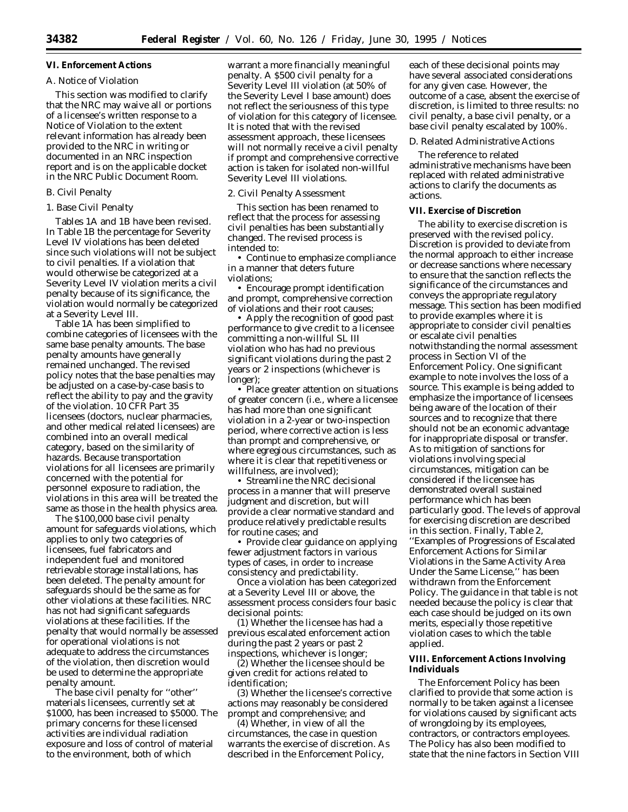# **VI. Enforcement Actions**

# *A. Notice of Violation*

This section was modified to clarify that the NRC may waive all or portions of a licensee's written response to a Notice of Violation to the extent relevant information has already been provided to the NRC in writing or documented in an NRC inspection report and is on the applicable docket in the NRC Public Document Room.

### *B. Civil Penalty*

### 1. Base Civil Penalty

Tables 1A and 1B have been revised. In Table 1B the percentage for Severity Level IV violations has been deleted since such violations will not be subject to civil penalties. If a violation that would otherwise be categorized at a Severity Level IV violation merits a civil penalty because of its significance, the violation would normally be categorized at a Severity Level III.

Table 1A has been simplified to combine categories of licensees with the same base penalty amounts. The base penalty amounts have generally remained unchanged. The revised policy notes that the base penalties may be adjusted on a case-by-case basis to reflect the ability to pay and the gravity of the violation. 10 CFR Part 35 licensees (doctors, nuclear pharmacies, and other medical related licensees) are combined into an overall medical category, based on the similarity of hazards. Because transportation violations for all licensees are primarily concerned with the potential for personnel exposure to radiation, the violations in this area will be treated the same as those in the health physics area.

The \$100,000 base civil penalty amount for safeguards violations, which applies to only two categories of licensees, fuel fabricators and independent fuel and monitored retrievable storage installations, has been deleted. The penalty amount for safeguards should be the same as for other violations at these facilities. NRC has not had significant safeguards violations at these facilities. If the penalty that would normally be assessed for operational violations is not adequate to address the circumstances of the violation, then discretion would be used to determine the appropriate penalty amount.

The base civil penalty for ''other'' materials licensees, currently set at \$1000, has been increased to \$5000. The primary concerns for these licensed activities are individual radiation exposure and loss of control of material to the environment, both of which

warrant a more financially meaningful penalty. A \$500 civil penalty for a Severity Level III violation (at 50% of the Severity Level I base amount) does not reflect the seriousness of this type of violation for this category of licensee. It is noted that with the revised assessment approach, these licensees will not normally receive a civil penalty if prompt and comprehensive corrective action is taken for isolated non-willful Severity Level III violations.

#### 2. Civil Penalty Assessment

This section has been renamed to reflect that the process for assessing civil penalties has been substantially changed. The revised process is intended to:

• Continue to emphasize compliance in a manner that deters future violations;

• Encourage prompt identification and prompt, comprehensive correction of violations and their root causes;

• Apply the recognition of good past performance to give credit to a licensee committing a non-willful SL III violation who has had no previous significant violations during the past 2 years or 2 inspections (whichever is longer);

• Place greater attention on situations of greater concern (i.e., where a licensee has had more than one significant violation in a 2-year or two-inspection period, where corrective action is less than prompt and comprehensive, or where egregious circumstances, such as where it is clear that repetitiveness or willfulness, are involved);

• Streamline the NRC decisional process in a manner that will preserve judgment and discretion, but will provide a clear normative standard and produce relatively predictable results for routine cases; and

• Provide clear guidance on applying fewer adjustment factors in various types of cases, in order to increase consistency and predictability.

Once a violation has been categorized at a Severity Level III or above, the assessment process considers four basic decisional points:

(1) Whether the licensee has had a previous escalated enforcement action during the past 2 years or past 2 inspections, whichever is longer;

(2) Whether the licensee should be given credit for actions related to identification;

(3) Whether the licensee's corrective actions may reasonably be considered prompt and comprehensive; and

(4) Whether, in view of all the circumstances, the case in question warrants the exercise of discretion. As described in the Enforcement Policy,

each of these decisional points may have several associated considerations for any given case. However, the outcome of a case, absent the exercise of discretion, is limited to three results: no civil penalty, a base civil penalty, or a base civil penalty escalated by 100%.

### *D. Related Administrative Actions*

The reference to related administrative mechanisms have been replaced with related administrative actions to clarify the documents as actions.

#### **VII. Exercise of Discretion**

The ability to exercise discretion is preserved with the revised policy. Discretion is provided to deviate from the normal approach to either increase or decrease sanctions where necessary to ensure that the sanction reflects the significance of the circumstances and conveys the appropriate regulatory message. This section has been modified to provide examples where it is appropriate to consider civil penalties or escalate civil penalties notwithstanding the normal assessment process in Section VI of the Enforcement Policy. One significant example to note involves the loss of a source. This example is being added to emphasize the importance of licensees being aware of the location of their sources and to recognize that there should not be an economic advantage for inappropriate disposal or transfer. As to mitigation of sanctions for violations involving special circumstances, mitigation can be considered if the licensee has demonstrated overall sustained performance which has been particularly good. The levels of approval for exercising discretion are described in this section. Finally, Table 2, ''Examples of Progressions of Escalated Enforcement Actions for Similar Violations in the Same Activity Area Under the Same License,'' has been withdrawn from the Enforcement Policy. The guidance in that table is not needed because the policy is clear that each case should be judged on its own merits, especially those repetitive violation cases to which the table applied.

# **VIII. Enforcement Actions Involving Individuals**

The Enforcement Policy has been clarified to provide that some action is normally to be taken against a licensee for violations caused by significant acts of wrongdoing by its employees, contractors, or contractors employees. The Policy has also been modified to state that the nine factors in Section VIII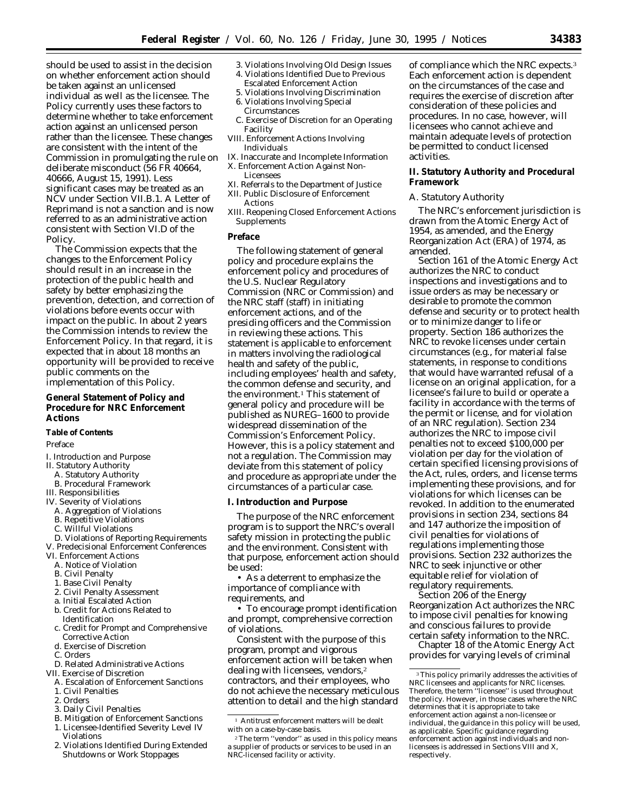should be used to assist in the decision on whether enforcement action should be taken against an unlicensed individual as well as the licensee. The Policy currently uses these factors to determine whether to take enforcement action against an unlicensed person rather than the licensee. These changes are consistent with the intent of the Commission in promulgating the rule on deliberate misconduct (56 FR 40664, 40666, August 15, 1991). Less significant cases may be treated as an NCV under Section VII.B.1. A Letter of Reprimand is not a sanction and is now referred to as an administrative action consistent with Section VI.D of the Policy.

The Commission expects that the changes to the Enforcement Policy should result in an increase in the protection of the public health and safety by better emphasizing the prevention, detection, and correction of violations before events occur with impact on the public. In about 2 years the Commission intends to review the Enforcement Policy. In that regard, it is expected that in about 18 months an opportunity will be provided to receive public comments on the implementation of this Policy.

# **General Statement of Policy and Procedure for NRC Enforcement Actions**

#### **Table of Contents**

### Preface

- I. Introduction and Purpose
- II. Statutory Authority
	- A. Statutory Authority
	- B. Procedural Framework
- III. Responsibilities
- IV. Severity of Violations A. Aggregation of Violations
- B. Repetitive Violations
- 
- C. Willful Violations
- D. Violations of Reporting Requirements V. Predecisional Enforcement Conferences
- 
- VI. Enforcement Actions A. Notice of Violation
- B. Civil Penalty
- 
- 1. Base Civil Penalty
- 2. Civil Penalty Assessment
- a. Initial Escalated Action b. Credit for Actions Related to
- Identification c. Credit for Prompt and Comprehensive
- Corrective Action
- d. Exercise of Discretion
- C. Orders
- D. Related Administrative Actions
- VII. Exercise of Discretion
	- A. Escalation of Enforcement Sanctions
	- 1. Civil Penalties
	- 2. Orders
	- 3. Daily Civil Penalties
	- B. Mitigation of Enforcement Sanctions 1. Licensee-Identified Severity Level IV
	- Violations 2. Violations Identified During Extended Shutdowns or Work Stoppages
- 3. Violations Involving Old Design Issues
- 4. Violations Identified Due to Previous Escalated Enforcement Action
- 5. Violations Involving Discrimination
- 6. Violations Involving Special Circumstances
- C. Exercise of Discretion for an Operating Facility
- VIII. Enforcement Actions Involving Individuals
- IX. Inaccurate and Incomplete Information X. Enforcement Action Against Non-
- Licensees XI. Referrals to the Department of Justice
- XII. Public Disclosure of Enforcement
- Actions
- XIII. Reopening Closed Enforcement Actions Supplements

#### **Preface**

The following statement of general policy and procedure explains the enforcement policy and procedures of the U.S. Nuclear Regulatory Commission (NRC or Commission) and the NRC staff (staff) in initiating enforcement actions, and of the presiding officers and the Commission in reviewing these actions. This statement is applicable to enforcement in matters involving the radiological health and safety of the public, including employees' health and safety, the common defense and security, and the environment.<sup>1</sup> This statement of general policy and procedure will be published as NUREG–1600 to provide widespread dissemination of the Commission's Enforcement Policy. However, this is a policy statement and not a regulation. The Commission may deviate from this statement of policy and procedure as appropriate under the circumstances of a particular case.

### **I. Introduction and Purpose**

The purpose of the NRC enforcement program is to support the NRC's overall safety mission in protecting the public and the environment. Consistent with that purpose, enforcement action should be used:

• As a deterrent to emphasize the importance of compliance with requirements, and

• To encourage prompt identification and prompt, comprehensive correction of violations.

Consistent with the purpose of this program, prompt and vigorous enforcement action will be taken when dealing with licensees, vendors,<sup>2</sup> contractors, and their employees, who do not achieve the necessary meticulous attention to detail and the high standard

of compliance which the NRC expects.3 Each enforcement action is dependent on the circumstances of the case and requires the exercise of discretion after consideration of these policies and procedures. In no case, however, will licensees who cannot achieve and maintain adequate levels of protection be permitted to conduct licensed activities.

### **II. Statutory Authority and Procedural Framework**

#### *A. Statutory Authority*

The NRC's enforcement jurisdiction is drawn from the Atomic Energy Act of 1954, as amended, and the Energy Reorganization Act (ERA) of 1974, as amended.

Section 161 of the Atomic Energy Act authorizes the NRC to conduct inspections and investigations and to issue orders as may be necessary or desirable to promote the common defense and security or to protect health or to minimize danger to life or property. Section 186 authorizes the NRC to revoke licenses under certain circumstances (e.g., for material false statements, in response to conditions that would have warranted refusal of a license on an original application, for a licensee's failure to build or operate a facility in accordance with the terms of the permit or license, and for violation of an NRC regulation). Section 234 authorizes the NRC to impose civil penalties not to exceed \$100,000 per violation per day for the violation of certain specified licensing provisions of the Act, rules, orders, and license terms implementing these provisions, and for violations for which licenses can be revoked. In addition to the enumerated provisions in section 234, sections 84 and 147 authorize the imposition of civil penalties for violations of regulations implementing those provisions. Section 232 authorizes the NRC to seek injunctive or other equitable relief for violation of regulatory requirements.

Section 206 of the Energy Reorganization Act authorizes the NRC to impose civil penalties for knowing and conscious failures to provide certain safety information to the NRC.

Chapter 18 of the Atomic Energy Act provides for varying levels of criminal

<sup>1</sup> Antitrust enforcement matters will be dealt with on a case-by-case basis.

<sup>2</sup>The term ''vendor'' as used in this policy means a supplier of products or services to be used in an NRC-licensed facility or activity.

<sup>3</sup>This policy primarily addresses the activities of NRC licensees and applicants for NRC licenses. Therefore, the term ''licensee'' is used throughout the policy. However, in those cases where the NRC determines that it is appropriate to take enforcement action against a non-licensee or individual, the guidance in this policy will be used, as applicable. Specific guidance regarding enforcement action against individuals and nonlicensees is addressed in Sections VIII and X, respectively.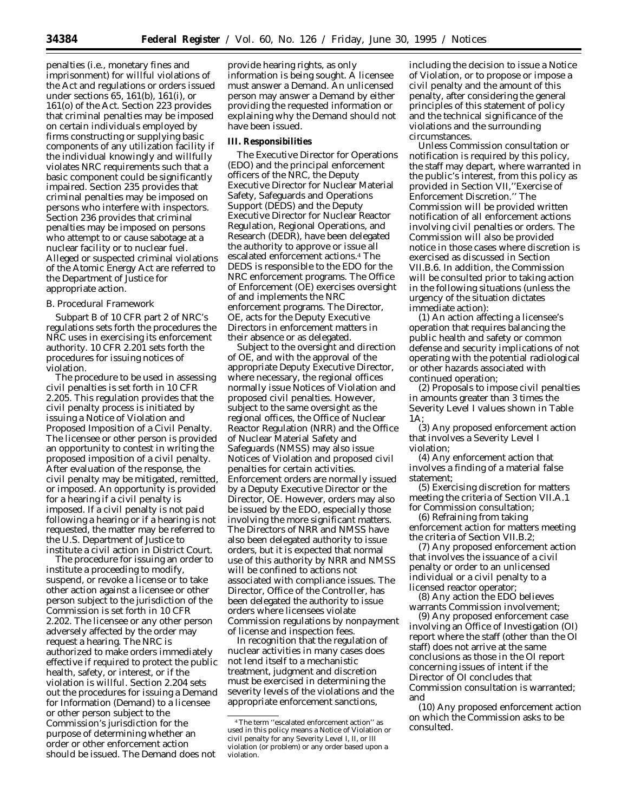penalties (i.e., monetary fines and imprisonment) for willful violations of the Act and regulations or orders issued under sections 65, 161(b), 161(i), or 161(o) of the Act. Section 223 provides that criminal penalties may be imposed on certain individuals employed by firms constructing or supplying basic components of any utilization facility if the individual knowingly and willfully violates NRC requirements such that a basic component could be significantly impaired. Section 235 provides that criminal penalties may be imposed on persons who interfere with inspectors. Section 236 provides that criminal penalties may be imposed on persons who attempt to or cause sabotage at a nuclear facility or to nuclear fuel. Alleged or suspected criminal violations of the Atomic Energy Act are referred to the Department of Justice for appropriate action.

### *B. Procedural Framework*

Subpart B of 10 CFR part 2 of NRC's regulations sets forth the procedures the NRC uses in exercising its enforcement authority. 10 CFR 2.201 sets forth the procedures for issuing notices of violation.

The procedure to be used in assessing civil penalties is set forth in 10 CFR 2.205. This regulation provides that the civil penalty process is initiated by issuing a Notice of Violation and Proposed Imposition of a Civil Penalty. The licensee or other person is provided an opportunity to contest in writing the proposed imposition of a civil penalty. After evaluation of the response, the civil penalty may be mitigated, remitted, or imposed. An opportunity is provided for a hearing if a civil penalty is imposed. If a civil penalty is not paid following a hearing or if a hearing is not requested, the matter may be referred to the U.S. Department of Justice to institute a civil action in District Court.

The procedure for issuing an order to institute a proceeding to modify, suspend, or revoke a license or to take other action against a licensee or other person subject to the jurisdiction of the Commission is set forth in 10 CFR 2.202. The licensee or any other person adversely affected by the order may request a hearing. The NRC is authorized to make orders immediately effective if required to protect the public health, safety, or interest, or if the violation is willful. Section 2.204 sets out the procedures for issuing a Demand for Information (Demand) to a licensee or other person subject to the Commission's jurisdiction for the purpose of determining whether an order or other enforcement action should be issued. The Demand does not

provide hearing rights, as only information is being sought. A licensee must answer a Demand. An unlicensed person may answer a Demand by either providing the requested information or explaining why the Demand should not have been issued.

### **III. Responsibilities**

The Executive Director for Operations (EDO) and the principal enforcement officers of the NRC, the Deputy Executive Director for Nuclear Material Safety, Safeguards and Operations Support (DEDS) and the Deputy Executive Director for Nuclear Reactor Regulation, Regional Operations, and Research (DEDR), have been delegated the authority to approve or issue all escalated enforcement actions.4 The DEDS is responsible to the EDO for the NRC enforcement programs. The Office of Enforcement (OE) exercises oversight of and implements the NRC enforcement programs. The Director, OE, acts for the Deputy Executive Directors in enforcement matters in their absence or as delegated.

Subject to the oversight and direction of OE, and with the approval of the appropriate Deputy Executive Director, where necessary, the regional offices normally issue Notices of Violation and proposed civil penalties. However, subject to the same oversight as the regional offices, the Office of Nuclear Reactor Regulation (NRR) and the Office of Nuclear Material Safety and Safeguards (NMSS) may also issue Notices of Violation and proposed civil penalties for certain activities. Enforcement orders are normally issued by a Deputy Executive Director or the Director, OE. However, orders may also be issued by the EDO, especially those involving the more significant matters. The Directors of NRR and NMSS have also been delegated authority to issue orders, but it is expected that normal use of this authority by NRR and NMSS will be confined to actions not associated with compliance issues. The Director, Office of the Controller, has been delegated the authority to issue orders where licensees violate Commission regulations by nonpayment of license and inspection fees.

In recognition that the regulation of nuclear activities in many cases does not lend itself to a mechanistic treatment, judgment and discretion must be exercised in determining the severity levels of the violations and the appropriate enforcement sanctions,

including the decision to issue a Notice of Violation, or to propose or impose a civil penalty and the amount of this penalty, after considering the general principles of this statement of policy and the technical significance of the violations and the surrounding circumstances.

Unless Commission consultation or notification is required by this policy, the staff may depart, where warranted in the public's interest, from this policy as provided in Section VII,''Exercise of Enforcement Discretion.'' The Commission will be provided written notification of all enforcement actions involving civil penalties or orders. The Commission will also be provided notice in those cases where discretion is exercised as discussed in Section VII.B.6. In addition, the Commission will be consulted prior to taking action in the following situations (unless the urgency of the situation dictates immediate action):

(1) An action affecting a licensee's operation that requires balancing the public health and safety or common defense and security implications of not operating with the potential radiological or other hazards associated with continued operation;

(2) Proposals to impose civil penalties in amounts greater than 3 times the Severity Level I values shown in Table 1A;

(3) Any proposed enforcement action that involves a Severity Level I violation;

(4) Any enforcement action that involves a finding of a material false statement;

(5) Exercising discretion for matters meeting the criteria of Section VII.A.1 for Commission consultation;

(6) Refraining from taking enforcement action for matters meeting the criteria of Section VII.B.2;

(7) Any proposed enforcement action that involves the issuance of a civil penalty or order to an unlicensed individual or a civil penalty to a licensed reactor operator;

(8) Any action the EDO believes warrants Commission involvement;

(9) Any proposed enforcement case involving an Office of Investigation (OI) report where the staff (other than the OI staff) does not arrive at the same conclusions as those in the OI report concerning issues of intent if the Director of OI concludes that Commission consultation is warranted; and

(10) Any proposed enforcement action on which the Commission asks to be consulted.

<sup>4</sup>The term ''escalated enforcement action'' as used in this policy means a Notice of Violation or civil penalty for any Severity Level I, II, or III violation (or problem) or any order based upon a violation.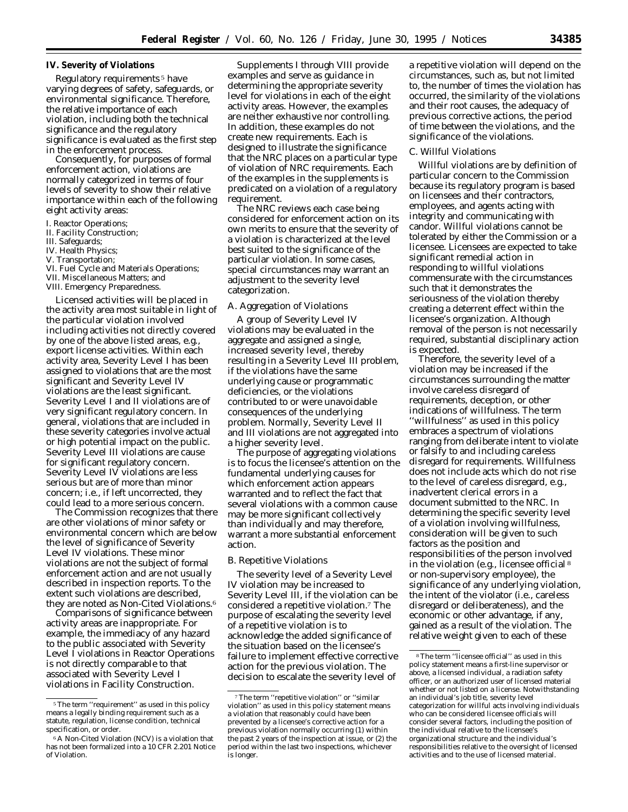# **IV. Severity of Violations**

Regulatory requirements 5 have varying degrees of safety, safeguards, or environmental significance. Therefore, the relative importance of each violation, including both the technical significance and the regulatory significance is evaluated as the first step in the enforcement process.

Consequently, for purposes of formal enforcement action, violations are normally categorized in terms of four levels of severity to show their relative importance within each of the following eight activity areas:

- I. Reactor Operations;
- II. Facility Construction;
- III. Safeguards;
- IV. Health Physics;
- V. Transportation;
- VI. Fuel Cycle and Materials Operations;
- VII. Miscellaneous Matters; and
- VIII. Emergency Preparedness.

Licensed activities will be placed in the activity area most suitable in light of the particular violation involved including activities not directly covered by one of the above listed areas, e.g., export license activities. Within each activity area, Severity Level I has been assigned to violations that are the most significant and Severity Level IV violations are the least significant. Severity Level I and II violations are of very significant regulatory concern. In general, violations that are included in these severity categories involve actual or high potential impact on the public. Severity Level III violations are cause for significant regulatory concern. Severity Level IV violations are less serious but are of more than minor concern; i.e., if left uncorrected, they could lead to a more serious concern.

The Commission recognizes that there are other violations of minor safety or environmental concern which are below the level of significance of Severity Level IV violations. These minor violations are not the subject of formal enforcement action and are not usually described in inspection reports. To the extent such violations are described, they are noted as Non-Cited Violations.<sup>6</sup>

Comparisons of significance between activity areas are inappropriate. For example, the immediacy of any hazard to the public associated with Severity Level I violations in Reactor Operations is not directly comparable to that associated with Severity Level I violations in Facility Construction.

Supplements I through VIII provide examples and serve as guidance in determining the appropriate severity level for violations in each of the eight activity areas. However, the examples are neither exhaustive nor controlling. In addition, these examples do not create new requirements. Each is designed to illustrate the significance that the NRC places on a particular type of violation of NRC requirements. Each of the examples in the supplements is predicated on a violation of a regulatory requirement.

The NRC reviews each case being considered for enforcement action on its own merits to ensure that the severity of a violation is characterized at the level best suited to the significance of the particular violation. In some cases, special circumstances may warrant an adjustment to the severity level categorization.

# *A. Aggregation of Violations*

A group of Severity Level IV violations may be evaluated in the aggregate and assigned a single, increased severity level, thereby resulting in a Severity Level III problem, if the violations have the same underlying cause or programmatic deficiencies, or the violations contributed to or were unavoidable consequences of the underlying problem. Normally, Severity Level II and III violations are not aggregated into a higher severity level.

The purpose of aggregating violations is to focus the licensee's attention on the fundamental underlying causes for which enforcement action appears warranted and to reflect the fact that several violations with a common cause may be more significant collectively than individually and may therefore, warrant a more substantial enforcement action.

# *B. Repetitive Violations*

The severity level of a Severity Level IV violation may be increased to Severity Level III, if the violation can be considered a repetitive violation.7 The purpose of escalating the severity level of a repetitive violation is to acknowledge the added significance of the situation based on the licensee's failure to implement effective corrective action for the previous violation. The decision to escalate the severity level of

a repetitive violation will depend on the circumstances, such as, but not limited to, the number of times the violation has occurred, the similarity of the violations and their root causes, the adequacy of previous corrective actions, the period of time between the violations, and the significance of the violations.

# *C. Willful Violations*

Willful violations are by definition of particular concern to the Commission because its regulatory program is based on licensees and their contractors, employees, and agents acting with integrity and communicating with candor. Willful violations cannot be tolerated by either the Commission or a licensee. Licensees are expected to take significant remedial action in responding to willful violations commensurate with the circumstances such that it demonstrates the seriousness of the violation thereby creating a deterrent effect within the licensee's organization. Although removal of the person is not necessarily required, substantial disciplinary action is expected.

Therefore, the severity level of a violation may be increased if the circumstances surrounding the matter involve careless disregard of requirements, deception, or other indications of willfulness. The term ''willfulness'' as used in this policy embraces a spectrum of violations ranging from deliberate intent to violate or falsify to and including careless disregard for requirements. Willfulness does not include acts which do not rise to the level of careless disregard, e.g., inadvertent clerical errors in a document submitted to the NRC. In determining the specific severity level of a violation involving willfulness, consideration will be given to such factors as the position and responsibilities of the person involved in the violation (e.g., licensee official 8 or non-supervisory employee), the significance of any underlying violation, the intent of the violator (i.e., careless disregard or deliberateness), and the economic or other advantage, if any, gained as a result of the violation. The relative weight given to each of these

<sup>&</sup>lt;sup>5</sup>The term "requirement" as used in this policy means a legally binding requirement such as a statute, regulation, license condition, technical specification, or order.

<sup>6</sup>A Non-Cited Violation (NCV) is a violation that has not been formalized into a 10 CFR 2.201 Notice of Violation.

<sup>7</sup>The term ''repetitive violation'' or ''similar violation'' as used in this policy statement means a violation that reasonably could have been prevented by a licensee's corrective action for a previous violation normally occurring (1) within the past 2 years of the inspection at issue, or (2) the period within the last two inspections, whichever is longer.

<sup>8</sup>The term ''licensee official'' as used in this policy statement means a first-line supervisor or above, a licensed individual, a radiation safety officer, or an authorized user of licensed material whether or not listed on a license. Notwithstanding an individual's job title, severity level categorization for willful acts involving individuals who can be considered licensee officials will consider several factors, including the position of the individual relative to the licensee's organizational structure and the individual's responsibilities relative to the oversight of licensed activities and to the use of licensed material.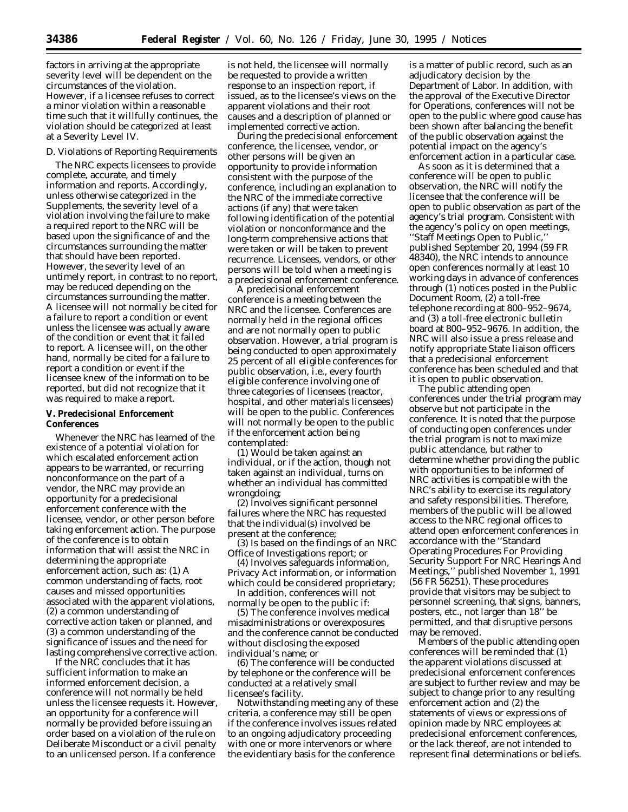factors in arriving at the appropriate severity level will be dependent on the circumstances of the violation. However, if a licensee refuses to correct a minor violation within a reasonable time such that it willfully continues, the violation should be categorized at least at a Severity Level IV.

### *D. Violations of Reporting Requirements*

The NRC expects licensees to provide complete, accurate, and timely information and reports. Accordingly, unless otherwise categorized in the Supplements, the severity level of a violation involving the failure to make a required report to the NRC will be based upon the significance of and the circumstances surrounding the matter that should have been reported. However, the severity level of an untimely report, in contrast to no report, may be reduced depending on the circumstances surrounding the matter. A licensee will not normally be cited for a failure to report a condition or event unless the licensee was actually aware of the condition or event that it failed to report. A licensee will, on the other hand, normally be cited for a failure to report a condition or event if the licensee knew of the information to be reported, but did not recognize that it was required to make a report.

# **V. Predecisional Enforcement Conferences**

Whenever the NRC has learned of the existence of a potential violation for which escalated enforcement action appears to be warranted, or recurring nonconformance on the part of a vendor, the NRC may provide an opportunity for a predecisional enforcement conference with the licensee, vendor, or other person before taking enforcement action. The purpose of the conference is to obtain information that will assist the NRC in determining the appropriate enforcement action, such as: (1) A common understanding of facts, root causes and missed opportunities associated with the apparent violations, (2) a common understanding of corrective action taken or planned, and (3) a common understanding of the significance of issues and the need for lasting comprehensive corrective action.

If the NRC concludes that it has sufficient information to make an informed enforcement decision, a conference will not normally be held unless the licensee requests it. However, an opportunity for a conference will normally be provided before issuing an order based on a violation of the rule on Deliberate Misconduct or a civil penalty to an unlicensed person. If a conference

is not held, the licensee will normally be requested to provide a written response to an inspection report, if issued, as to the licensee's views on the apparent violations and their root causes and a description of planned or implemented corrective action.

During the predecisional enforcement conference, the licensee, vendor, or other persons will be given an opportunity to provide information consistent with the purpose of the conference, including an explanation to the NRC of the immediate corrective actions (if any) that were taken following identification of the potential violation or nonconformance and the long-term comprehensive actions that were taken or will be taken to prevent recurrence. Licensees, vendors, or other persons will be told when a meeting is a predecisional enforcement conference.

A predecisional enforcement conference is a meeting between the NRC and the licensee. Conferences are normally held in the regional offices and are not normally open to public observation. However, a trial program is being conducted to open approximately 25 percent of all eligible conferences for public observation, i.e., every fourth eligible conference involving one of three categories of licensees (reactor, hospital, and other materials licensees) will be open to the public. Conferences will not normally be open to the public if the enforcement action being contemplated:

(1) Would be taken against an individual, or if the action, though not taken against an individual, turns on whether an individual has committed wrongdoing;

(2) Involves significant personnel failures where the NRC has requested that the individual(s) involved be present at the conference;

(3) Is based on the findings of an NRC Office of Investigations report; or

(4) Involves safeguards information, Privacy Act information, or information which could be considered proprietary;

In addition, conferences will not normally be open to the public if:

(5) The conference involves medical misadministrations or overexposures and the conference cannot be conducted without disclosing the exposed individual's name; or

(6) The conference will be conducted by telephone or the conference will be conducted at a relatively small licensee's facility.

Notwithstanding meeting any of these criteria, a conference may still be open if the conference involves issues related to an ongoing adjudicatory proceeding with one or more intervenors or where the evidentiary basis for the conference

is a matter of public record, such as an adjudicatory decision by the Department of Labor. In addition, with the approval of the Executive Director for Operations, conferences will not be open to the public where good cause has been shown after balancing the benefit of the public observation against the potential impact on the agency's enforcement action in a particular case.

As soon as it is determined that a conference will be open to public observation, the NRC will notify the licensee that the conference will be open to public observation as part of the agency's trial program. Consistent with the agency's policy on open meetings, ''Staff Meetings Open to Public,'' published September 20, 1994 (59 FR 48340), the NRC intends to announce open conferences normally at least 10 working days in advance of conferences through (1) notices posted in the Public Document Room, (2) a toll-free telephone recording at 800–952–9674, and (3) a toll-free electronic bulletin board at 800–952–9676. In addition, the NRC will also issue a press release and notify appropriate State liaison officers that a predecisional enforcement conference has been scheduled and that it is open to public observation.

The public attending open conferences under the trial program may observe but not participate in the conference. It is noted that the purpose of conducting open conferences under the trial program is not to maximize public attendance, but rather to determine whether providing the public with opportunities to be informed of NRC activities is compatible with the NRC's ability to exercise its regulatory and safety responsibilities. Therefore, members of the public will be allowed access to the NRC regional offices to attend open enforcement conferences in accordance with the ''Standard Operating Procedures For Providing Security Support For NRC Hearings And Meetings,'' published November 1, 1991 (56 FR 56251). These procedures provide that visitors may be subject to personnel screening, that signs, banners, posters, etc., not larger than 18'' be permitted, and that disruptive persons may be removed.

Members of the public attending open conferences will be reminded that (1) the apparent violations discussed at predecisional enforcement conferences are subject to further review and may be subject to change prior to any resulting enforcement action and (2) the statements of views or expressions of opinion made by NRC employees at predecisional enforcement conferences, or the lack thereof, are not intended to represent final determinations or beliefs.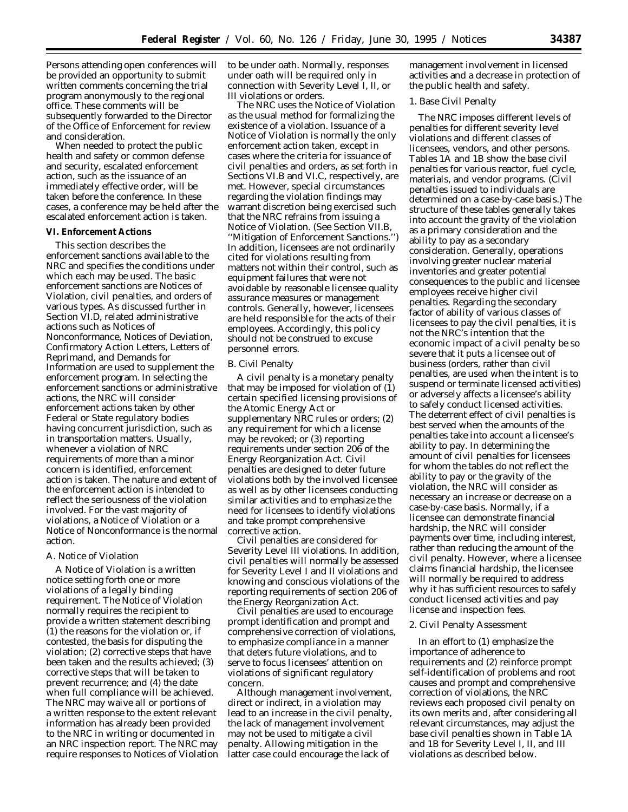Persons attending open conferences will be provided an opportunity to submit written comments concerning the trial program anonymously to the regional office. These comments will be subsequently forwarded to the Director of the Office of Enforcement for review and consideration.

When needed to protect the public health and safety or common defense and security, escalated enforcement action, such as the issuance of an immediately effective order, will be taken before the conference. In these cases, a conference may be held after the escalated enforcement action is taken.

### **VI. Enforcement Actions**

This section describes the enforcement sanctions available to the NRC and specifies the conditions under which each may be used. The basic enforcement sanctions are Notices of Violation, civil penalties, and orders of various types. As discussed further in Section VI.D, related administrative actions such as Notices of Nonconformance, Notices of Deviation, Confirmatory Action Letters, Letters of Reprimand, and Demands for Information are used to supplement the enforcement program. In selecting the enforcement sanctions or administrative actions, the NRC will consider enforcement actions taken by other Federal or State regulatory bodies having concurrent jurisdiction, such as in transportation matters. Usually, whenever a violation of NRC requirements of more than a minor concern is identified, enforcement action is taken. The nature and extent of the enforcement action is intended to reflect the seriousness of the violation involved. For the vast majority of violations, a Notice of Violation or a Notice of Nonconformance is the normal action.

# *A. Notice of Violation*

A Notice of Violation is a written notice setting forth one or more violations of a legally binding requirement. The Notice of Violation normally requires the recipient to provide a written statement describing (1) the reasons for the violation or, if contested, the basis for disputing the violation; (2) corrective steps that have been taken and the results achieved; (3) corrective steps that will be taken to prevent recurrence; and (4) the date when full compliance will be achieved. The NRC may waive all or portions of a written response to the extent relevant information has already been provided to the NRC in writing or documented in an NRC inspection report. The NRC may require responses to Notices of Violation to be under oath. Normally, responses under oath will be required only in connection with Severity Level I, II, or III violations or orders.

The NRC uses the Notice of Violation as the usual method for formalizing the existence of a violation. Issuance of a Notice of Violation is normally the only enforcement action taken, except in cases where the criteria for issuance of civil penalties and orders, as set forth in Sections VI.B and VI.C, respectively, are met. However, special circumstances regarding the violation findings may warrant discretion being exercised such that the NRC refrains from issuing a Notice of Violation. (See Section VII.B, ''Mitigation of Enforcement Sanctions.'') In addition, licensees are not ordinarily cited for violations resulting from matters not within their control, such as equipment failures that were not avoidable by reasonable licensee quality assurance measures or management controls. Generally, however, licensees are held responsible for the acts of their employees. Accordingly, this policy should not be construed to excuse personnel errors.

### *B. Civil Penalty*

A civil penalty is a monetary penalty that may be imposed for violation of (1) certain specified licensing provisions of the Atomic Energy Act or supplementary NRC rules or orders; (2) any requirement for which a license may be revoked; or (3) reporting requirements under section 206 of the Energy Reorganization Act. Civil penalties are designed to deter future violations both by the involved licensee as well as by other licensees conducting similar activities and to emphasize the need for licensees to identify violations and take prompt comprehensive corrective action.

Civil penalties are considered for Severity Level III violations. In addition, civil penalties will normally be assessed for Severity Level I and II violations and knowing and conscious violations of the reporting requirements of section 206 of the Energy Reorganization Act.

Civil penalties are used to encourage prompt identification and prompt and comprehensive correction of violations, to emphasize compliance in a manner that deters future violations, and to serve to focus licensees' attention on violations of significant regulatory concern.

Although management involvement, direct or indirect, in a violation may lead to an increase in the civil penalty, the lack of management involvement may not be used to mitigate a civil penalty. Allowing mitigation in the latter case could encourage the lack of

management involvement in licensed activities and a decrease in protection of the public health and safety.

# 1. Base Civil Penalty

The NRC imposes different levels of penalties for different severity level violations and different classes of licensees, vendors, and other persons. Tables 1A and 1B show the base civil penalties for various reactor, fuel cycle, materials, and vendor programs. (Civil penalties issued to individuals are determined on a case-by-case basis.) The structure of these tables generally takes into account the gravity of the violation as a primary consideration and the ability to pay as a secondary consideration. Generally, operations involving greater nuclear material inventories and greater potential consequences to the public and licensee employees receive higher civil penalties. Regarding the secondary factor of ability of various classes of licensees to pay the civil penalties, it is not the NRC's intention that the economic impact of a civil penalty be so severe that it puts a licensee out of business (orders, rather than civil penalties, are used when the intent is to suspend or terminate licensed activities) or adversely affects a licensee's ability to safely conduct licensed activities. The deterrent effect of civil penalties is best served when the amounts of the penalties take into account a licensee's ability to pay. In determining the amount of civil penalties for licensees for whom the tables do not reflect the ability to pay or the gravity of the violation, the NRC will consider as necessary an increase or decrease on a case-by-case basis. Normally, if a licensee can demonstrate financial hardship, the NRC will consider payments over time, including interest, rather than reducing the amount of the civil penalty. However, where a licensee claims financial hardship, the licensee will normally be required to address why it has sufficient resources to safely conduct licensed activities and pay license and inspection fees.

### 2. Civil Penalty Assessment

In an effort to (1) emphasize the importance of adherence to requirements and (2) reinforce prompt self-identification of problems and root causes and prompt and comprehensive correction of violations, the NRC reviews each proposed civil penalty on its own merits and, after considering all relevant circumstances, may adjust the base civil penalties shown in Table 1A and 1B for Severity Level I, II, and III violations as described below.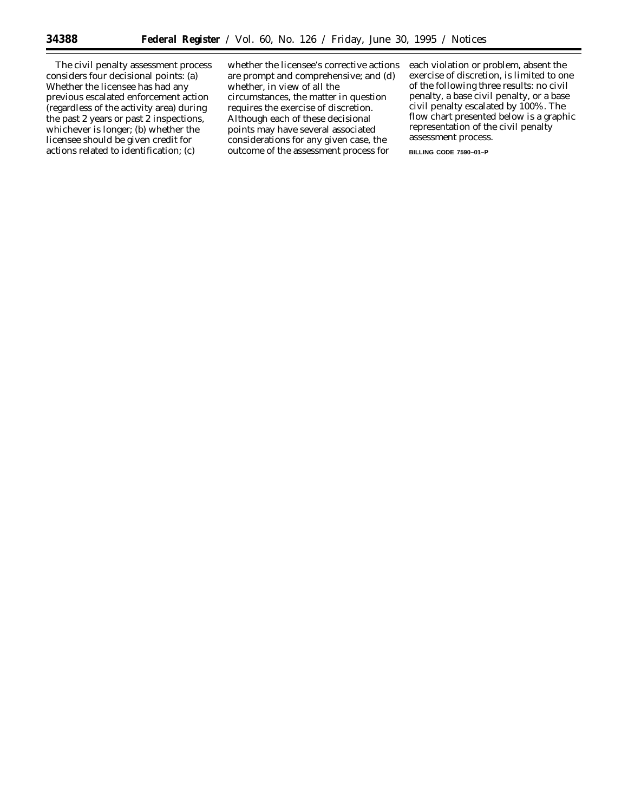The civil penalty assessment process considers four decisional points: (a) Whether the licensee has had any previous escalated enforcement action (regardless of the activity area) during the past 2 years or past 2 inspections, whichever is longer; (b) whether the licensee should be given credit for actions related to identification; (c)

whether the licensee's corrective actions are prompt and comprehensive; and (d) whether, in view of all the circumstances, the matter in question requires the exercise of discretion. Although each of these decisional points may have several associated considerations for any given case, the outcome of the assessment process for

each violation or problem, absent the exercise of discretion, is limited to one of the following three results: no civil penalty, a base civil penalty, or a base civil penalty escalated by 100%. The flow chart presented below is a graphic representation of the civil penalty assessment process.

**BILLING CODE 7590–01–P**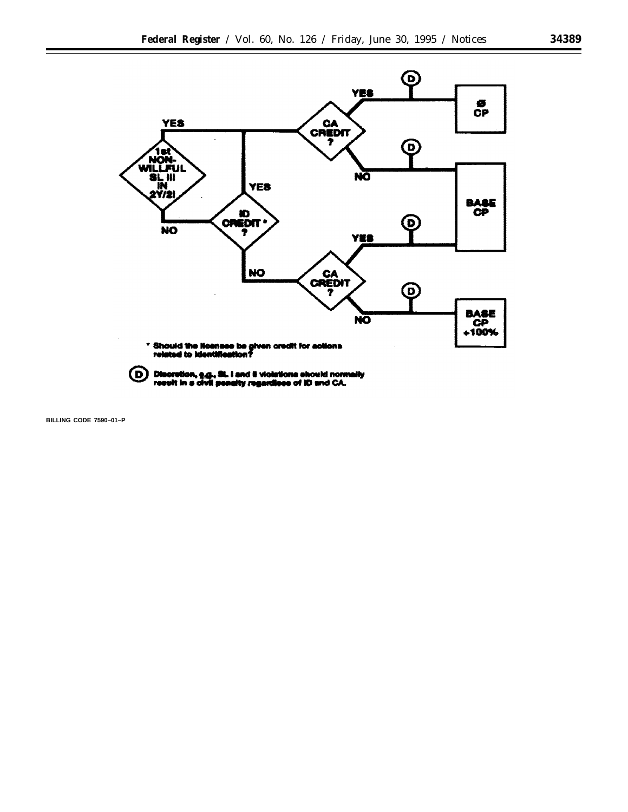

(D) Discretion, e.g., St. i and it violations should normally result in a civil penalty regardless of ID and CA.

**BILLING CODE 7590–01–P**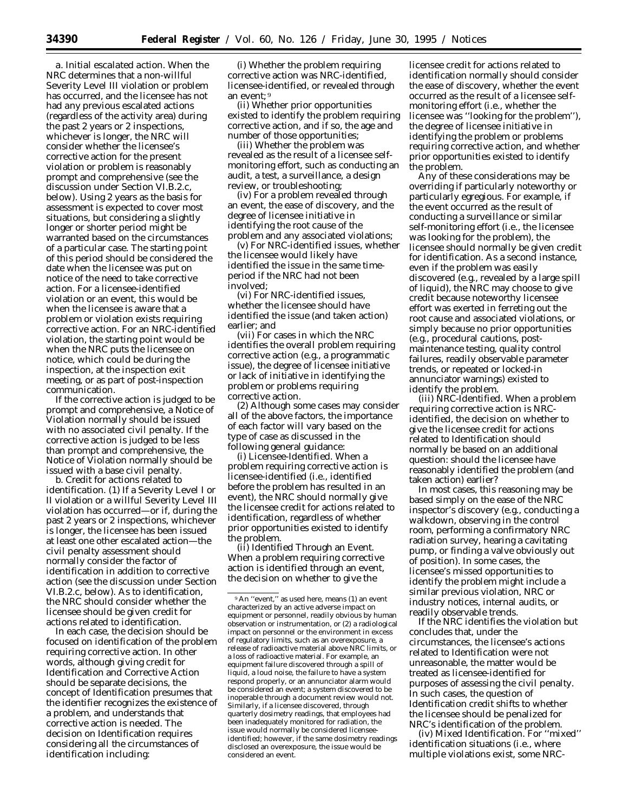*a. Initial escalated action.* When the NRC determines that a non-willful Severity Level III violation or problem has occurred, and the licensee has not had *any* previous escalated actions (regardless of the activity area) during the past 2 years or 2 inspections, whichever is longer, the NRC will consider whether the licensee's corrective action for the present violation or problem is reasonably prompt and comprehensive (see the discussion under Section VI.B.2.c, below). Using 2 years as the basis for assessment is expected to cover most situations, but considering a slightly longer or shorter period might be warranted based on the circumstances of a particular case. The starting point of this period should be considered the date when the licensee was put on notice of the need to take corrective action. For a licensee-identified violation or an event, this would be when the licensee is aware that a problem or violation exists requiring corrective action. For an NRC-identified violation, the starting point would be when the NRC puts the licensee on notice, which could be during the inspection, at the inspection exit meeting, or as part of post-inspection communication.

If the corrective action is judged to be prompt and comprehensive, a Notice of Violation normally should be issued with no associated civil penalty. If the corrective action is judged to be less than prompt and comprehensive, the Notice of Violation normally should be issued with a base civil penalty.

*b. Credit for actions related to identification.* (1) If a Severity Level I or II violation or a willful Severity Level III violation has occurred—or if, during the past 2 years or 2 inspections, whichever is longer, the licensee has been issued at least one other escalated action—the civil penalty assessment should normally consider the factor of identification in addition to corrective action (see the discussion under Section VI.B.2.c, below). As to identification, the NRC should consider whether the licensee should be given credit for actions related to identification.

In each case, the decision should be focused on identification of the problem requiring corrective action. In other words, although giving credit for Identification and Corrective Action should be separate decisions, the concept of Identification presumes that the identifier recognizes the existence of a problem, and understands that corrective action is needed. The decision on Identification requires considering all the circumstances of identification including:

(i) Whether the problem requiring corrective action was NRC-identified, licensee-identified, or revealed through an event; 9

(ii) Whether prior opportunities existed to identify the problem requiring corrective action, and if so, the age and number of those opportunities;

(iii) Whether the problem was revealed as the result of a licensee selfmonitoring effort, such as conducting an audit, a test, a surveillance, a design review, or troubleshooting;

(iv) For a problem revealed through an event, the ease of discovery, and the degree of licensee initiative in identifying the root cause of the problem and any associated violations;

(v) For NRC-identified issues, whether the licensee would likely have identified the issue in the same timeperiod if the NRC had not been involved;

(vi) For NRC-identified issues, whether the licensee should have identified the issue (and taken action) earlier; and

(vii) For cases in which the NRC identifies the overall problem requiring corrective action (e.g., a programmatic issue), the degree of licensee initiative or lack of initiative in identifying the problem or problems requiring corrective action.

(2) Although some cases may consider all of the above factors, the importance of each factor will vary based on the type of case as discussed in the following general guidance:

(i) Licensee-Identified. When a problem requiring corrective action is licensee-identified (i.e., identified before the problem has resulted in an event), the NRC should normally give the licensee credit for actions related to identification, regardless of whether prior opportunities existed to identify the problem.

(ii) Identified Through an Event. When a problem requiring corrective action is identified through an event, the decision on whether to give the

licensee credit for actions related to identification normally should consider the ease of discovery, whether the event occurred as the result of a licensee selfmonitoring effort (i.e., whether the licensee was ''looking for the problem''), the degree of licensee initiative in identifying the problem or problems requiring corrective action, and whether prior opportunities existed to identify the problem.

Any of these considerations may be overriding if particularly noteworthy or particularly egregious. For example, if the event occurred as the result of conducting a surveillance or similar self-monitoring effort (i.e., the licensee was looking for the problem), the licensee should normally be given credit for identification. As a second instance, even if the problem was easily discovered (e.g., revealed by a large spill of liquid), the NRC may choose to give credit because noteworthy licensee effort was exerted in ferreting out the root cause and associated violations, or simply because no prior opportunities (e.g., procedural cautions, postmaintenance testing, quality control failures, readily observable parameter trends, or repeated or locked-in annunciator warnings) existed to identify the problem.

(iii) NRC-Identified. When a problem requiring corrective action is NRCidentified, the decision on whether to give the licensee credit for actions related to Identification should normally be based on an additional question: should the licensee have reasonably identified the problem (and taken action) earlier?

In most cases, this reasoning may be based simply on the ease of the NRC inspector's discovery (e.g., conducting a walkdown, observing in the control room, performing a confirmatory NRC radiation survey, hearing a cavitating pump, or finding a valve obviously out of position). In some cases, the licensee's missed opportunities to identify the problem might include a similar previous violation, NRC or industry notices, internal audits, or readily observable trends.

If the NRC identifies the violation but concludes that, under the circumstances, the licensee's actions related to Identification were not unreasonable, the matter would be treated as licensee-identified for purposes of assessing the civil penalty. In such cases, the question of Identification credit shifts to whether the licensee should be penalized for NRC's identification of the problem.

(iv) Mixed Identification. For ''mixed'' identification situations (i.e., where multiple violations exist, some NRC-

<sup>9</sup>An ''event,'' as used here, means (1) an event characterized by an active adverse impact on equipment or personnel, readily obvious by human observation or instrumentation, or (2) a radiological impact on personnel or the environment in excess of regulatory limits, such as an overexposure, a release of radioactive material above NRC limits, or a loss of radioactive material. For example, an equipment failure discovered through a spill of liquid, a loud noise, the failure to have a system respond properly, or an annunciator alarm would be considered an event; a system discovered to be inoperable through a document review would not. Similarly, if a licensee discovered, through quarterly dosimetry readings, that employees had been inadequately monitored for radiation, the issue would normally be considered licenseeidentified; however, if the same dosimetry readings disclosed an overexposure, the issue would be considered an event.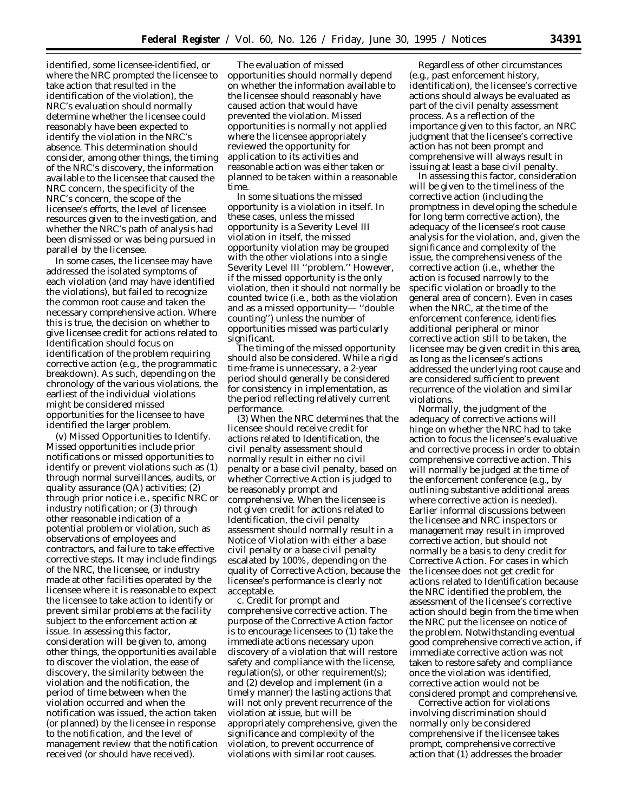identified, some licensee-identified, or where the NRC prompted the licensee to take action that resulted in the identification of the violation), the NRC's evaluation should normally determine whether the licensee could reasonably have been expected to identify the violation in the NRC's absence. This determination should consider, among other things, the timing of the NRC's discovery, the information available to the licensee that caused the NRC concern, the specificity of the NRC's concern, the scope of the licensee's efforts, the level of licensee resources given to the investigation, and whether the NRC's path of analysis had been dismissed or was being pursued in parallel by the licensee.

In some cases, the licensee may have addressed the isolated symptoms of each violation (and may have identified the violations), but failed to recognize the common root cause and taken the necessary comprehensive action. Where this is true, the decision on whether to give licensee credit for actions related to Identification should focus on identification of the problem requiring corrective action (e.g., the programmatic breakdown). As such, depending on the chronology of the various violations, the earliest of the individual violations might be considered missed opportunities for the licensee to have identified the larger problem.

(v) Missed Opportunities to Identify. Missed opportunities include prior notifications or missed opportunities to identify or prevent violations such as (1) through normal surveillances, audits, or quality assurance (QA) activities; (2) through prior notice i.e., specific NRC or industry notification; or (3) through other reasonable indication of a potential problem or violation, such as observations of employees and contractors, and failure to take effective corrective steps. It may include findings of the NRC, the licensee, or industry made at other facilities operated by the licensee where it is reasonable to expect the licensee to take action to identify or prevent similar problems at the facility subject to the enforcement action at issue. In assessing this factor, consideration will be given to, among other things, the opportunities available to discover the violation, the ease of discovery, the similarity between the violation and the notification, the period of time between when the violation occurred and when the notification was issued, the action taken (or planned) by the licensee in response to the notification, and the level of management review that the notification received (or should have received).

The evaluation of missed opportunities should normally depend on whether the information available to the licensee should reasonably have caused action that would have prevented the violation. Missed opportunities is normally not applied where the licensee appropriately reviewed the opportunity for application to its activities and reasonable action was either taken or planned to be taken within a reasonable time.

In some situations the missed opportunity is a violation in itself. In these cases, unless the missed opportunity is a Severity Level III violation in itself, the missed opportunity violation may be grouped with the other violations into a single Severity Level III ''problem.'' However, if the missed opportunity is the only violation, then it should not normally be counted twice (i.e., both as the violation and as a missed opportunity— ''double counting'') unless the number of opportunities missed was particularly significant.

The timing of the missed opportunity should also be considered. While a rigid time-frame is unnecessary, a 2-year period should generally be considered for consistency in implementation, as the period reflecting relatively current performance.

(3) When the NRC determines that the licensee should receive credit for actions related to Identification, the civil penalty assessment should normally result in either no civil penalty or a base civil penalty, based on whether Corrective Action is judged to be reasonably prompt and comprehensive. When the licensee is not given credit for actions related to Identification, the civil penalty assessment should normally result in a Notice of Violation with either a base civil penalty or a base civil penalty escalated by 100%, depending on the quality of Corrective Action, because the licensee's performance is clearly not acceptable.

*c. Credit for prompt and comprehensive corrective action.* The purpose of the Corrective Action factor is to encourage licensees to (1) take the immediate actions necessary upon discovery of a violation that will restore safety and compliance with the license, regulation(s), or other requirement(s); and (2) develop and implement (in a timely manner) the lasting actions that will not only prevent recurrence of the violation at issue, but will be appropriately comprehensive, given the significance and complexity of the violation, to prevent occurrence of violations with similar root causes.

Regardless of other circumstances (e.g., past enforcement history, identification), the licensee's corrective actions should always be evaluated as part of the civil penalty assessment process. As a reflection of the importance given to this factor, an NRC judgment that the licensee's corrective action has not been prompt and comprehensive will always result in issuing at least a base civil penalty.

In assessing this factor, consideration will be given to the timeliness of the corrective action (including the promptness in developing the schedule for long term corrective action), the adequacy of the licensee's root cause analysis for the violation, and, given the significance and complexity of the issue, the comprehensiveness of the corrective action (i.e., whether the action is focused narrowly to the specific violation or broadly to the general area of concern). Even in cases when the NRC, at the time of the enforcement conference, identifies additional peripheral or minor corrective action still to be taken, the licensee may be given credit in this area, as long as the licensee's actions addressed the underlying root cause and are considered sufficient to prevent recurrence of the violation and similar violations.

Normally, the judgment of the adequacy of corrective actions will hinge on whether the NRC had to take action to focus the licensee's evaluative and corrective process in order to obtain comprehensive corrective action. This will normally be judged at the time of the enforcement conference (e.g., by outlining substantive additional areas where corrective action is needed). Earlier informal discussions between the licensee and NRC inspectors or management may result in improved corrective action, but should not normally be a basis to deny credit for Corrective Action. For cases in which the licensee does not get credit for actions related to Identification because the NRC identified the problem, the assessment of the licensee's corrective action should begin from the time when the NRC put the licensee on notice of the problem. Notwithstanding eventual good comprehensive corrective action, if immediate corrective action was not taken to restore safety and compliance once the violation was identified, corrective action would not be considered prompt and comprehensive.

Corrective action for violations involving discrimination should normally only be considered comprehensive if the licensee takes prompt, comprehensive corrective action that (1) addresses the broader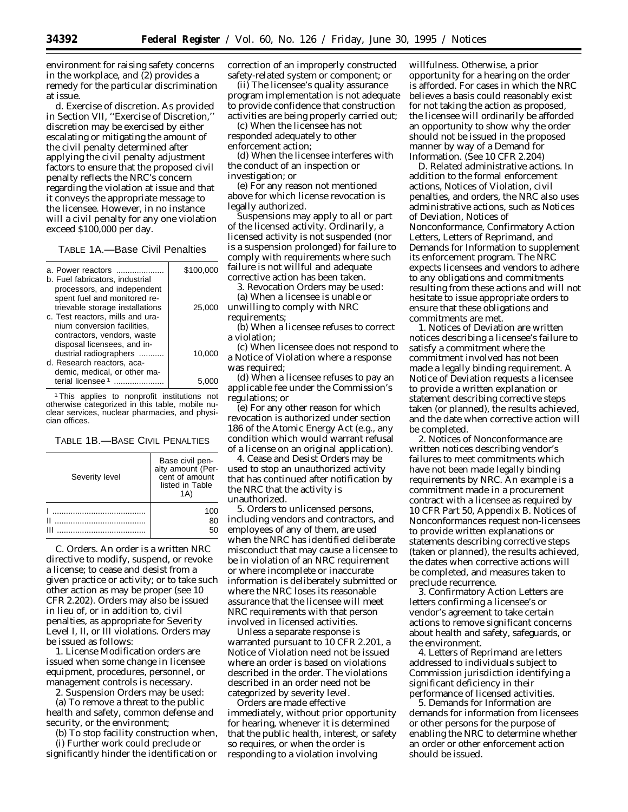environment for raising safety concerns in the workplace, and (2) provides a remedy for the particular discrimination at issue.

*d. Exercise of discretion.* As provided in Section VII, ''Exercise of Discretion,'' discretion may be exercised by either escalating or mitigating the amount of the civil penalty determined after applying the civil penalty adjustment factors to ensure that the proposed civil penalty reflects the NRC's concern regarding the violation at issue and that it conveys the appropriate message to the licensee. However, in no instance will a civil penalty for any one violation exceed \$100,000 per day.

TABLE 1A.—Base Civil Penalties

| a. Power reactors<br>b. Fuel fabricators, industrial                                                                                                              | \$100,000 |
|-------------------------------------------------------------------------------------------------------------------------------------------------------------------|-----------|
| processors, and independent<br>spent fuel and monitored re-<br>trievable storage installations<br>c. Test reactors, mills and ura-<br>nium conversion facilities, | 25,000    |
| contractors, vendors, waste<br>disposal licensees, and in-<br>dustrial radiographers<br>d. Research reactors, aca-<br>demic, medical, or other ma-                | 10.000    |
| terial licensee <sup>1</sup>                                                                                                                                      |           |

1This applies to nonprofit institutions not otherwise categorized in this table, mobile nuclear services, nuclear pharmacies, and physician offices.

TABLE 1B.—BASE CIVIL PENALTIES

| Severity level | Base civil pen-<br>alty amount (Per-<br>cent of amount<br>listed in Table<br>1 A ) |
|----------------|------------------------------------------------------------------------------------|
|                | 100<br>80<br>50                                                                    |

*C. Orders.* An order is a written NRC directive to modify, suspend, or revoke a license; to cease and desist from a given practice or activity; or to take such other action as may be proper (see 10 CFR 2.202). Orders may also be issued in lieu of, or in addition to, civil penalties, as appropriate for Severity Level I, II, or III violations. Orders may be issued as follows:

1. License Modification orders are issued when some change in licensee equipment, procedures, personnel, or management controls is necessary.

2. Suspension Orders may be used:

(a) To remove a threat to the public health and safety, common defense and security, or the environment;

(b) To stop facility construction when, (i) Further work could preclude or

significantly hinder the identification or

correction of an improperly constructed safety-related system or component; or

(ii) The licensee's quality assurance program implementation is not adequate to provide confidence that construction activities are being properly carried out;

(c) When the licensee has not responded adequately to other enforcement action;

(d) When the licensee interferes with the conduct of an inspection or investigation; or

(e) For any reason not mentioned above for which license revocation is legally authorized.

Suspensions may apply to all or part of the licensed activity. Ordinarily, a licensed activity is not suspended (nor is a suspension prolonged) for failure to comply with requirements where such failure is not willful and adequate corrective action has been taken.

3. Revocation Orders may be used:

(a) When a licensee is unable or unwilling to comply with NRC requirements;

(b) When a licensee refuses to correct a violation;

(c) When licensee does not respond to a Notice of Violation where a response was required;

(d) When a licensee refuses to pay an applicable fee under the Commission's regulations; or

(e) For any other reason for which revocation is authorized under section 186 of the Atomic Energy Act (e.g., any condition which would warrant refusal of a license on an original application).

4. Cease and Desist Orders may be used to stop an unauthorized activity that has continued after notification by the NRC that the activity is unauthorized.

5. Orders to unlicensed persons, including vendors and contractors, and employees of any of them, are used when the NRC has identified deliberate misconduct that may cause a licensee to be in violation of an NRC requirement or where incomplete or inaccurate information is deliberately submitted or where the NRC loses its reasonable assurance that the licensee will meet NRC requirements with that person involved in licensed activities.

Unless a separate response is warranted pursuant to 10 CFR 2.201, a Notice of Violation need not be issued where an order is based on violations described in the order. The violations described in an order need not be categorized by severity level.

Orders are made effective immediately, without prior opportunity for hearing, whenever it is determined that the public health, interest, or safety so requires, or when the order is responding to a violation involving

willfulness. Otherwise, a prior opportunity for a hearing on the order is afforded. For cases in which the NRC believes a basis could reasonably exist for not taking the action as proposed, the licensee will ordinarily be afforded an opportunity to show why the order should not be issued in the proposed manner by way of a Demand for Information. (See 10 CFR 2.204)

*D. Related administrative actions.* In addition to the formal enforcement actions, Notices of Violation, civil penalties, and orders, the NRC also uses administrative actions, such as Notices of Deviation, Notices of Nonconformance, Confirmatory Action Letters, Letters of Reprimand, and Demands for Information to supplement its enforcement program. The NRC expects licensees and vendors to adhere to any obligations and commitments resulting from these actions and will not hesitate to issue appropriate orders to ensure that these obligations and commitments are met.

1. Notices of Deviation are written notices describing a licensee's failure to satisfy a commitment where the commitment involved has not been made a legally binding requirement. A Notice of Deviation requests a licensee to provide a written explanation or statement describing corrective steps taken (or planned), the results achieved, and the date when corrective action will be completed.

2. Notices of Nonconformance are written notices describing vendor's failures to meet commitments which have not been made legally binding requirements by NRC. An example is a commitment made in a procurement contract with a licensee as required by 10 CFR Part 50, Appendix B. Notices of Nonconformances request non-licensees to provide written explanations or statements describing corrective steps (taken or planned), the results achieved, the dates when corrective actions will be completed, and measures taken to preclude recurrence.

3. Confirmatory Action Letters are letters confirming a licensee's or vendor's agreement to take certain actions to remove significant concerns about health and safety, safeguards, or the environment.

4. Letters of Reprimand are letters addressed to individuals subject to Commission jurisdiction identifying a significant deficiency in their performance of licensed activities.

5. Demands for Information are demands for information from licensees or other persons for the purpose of enabling the NRC to determine whether an order or other enforcement action should be issued.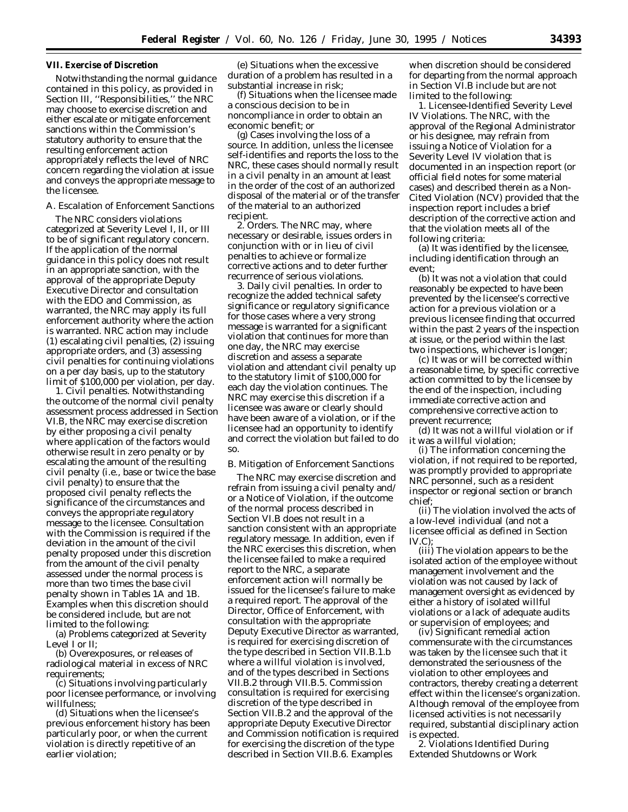# **VII. Exercise of Discretion**

Notwithstanding the normal guidance contained in this policy, as provided in Section III, ''Responsibilities,'' the NRC may choose to exercise discretion and either escalate or mitigate enforcement sanctions within the Commission's statutory authority to ensure that the resulting enforcement action appropriately reflects the level of NRC concern regarding the violation at issue and conveys the appropriate message to the licensee.

# *A. Escalation of Enforcement Sanctions*

The NRC considers violations categorized at Severity Level I, II, or III to be of significant regulatory concern. If the application of the normal guidance in this policy does not result in an appropriate sanction, with the approval of the appropriate Deputy Executive Director and consultation with the EDO and Commission, as warranted, the NRC may apply its full enforcement authority where the action is warranted. NRC action may include (1) escalating civil penalties, (2) issuing appropriate orders, and (3) assessing civil penalties for continuing violations on a per day basis, up to the statutory limit of \$100,000 per violation, per day.

1. Civil penalties. Notwithstanding the outcome of the normal civil penalty assessment process addressed in Section VI.B, the NRC may exercise discretion by either proposing a civil penalty where application of the factors would otherwise result in zero penalty or by escalating the amount of the resulting civil penalty (i.e., base or twice the base civil penalty) to ensure that the proposed civil penalty reflects the significance of the circumstances and conveys the appropriate regulatory message to the licensee. Consultation with the Commission is required if the deviation in the amount of the civil penalty proposed under this discretion from the amount of the civil penalty assessed under the normal process is more than two times the base civil penalty shown in Tables 1A and 1B. Examples when this discretion should be considered include, but are not limited to the following:

(a) Problems categorized at Severity Level I or II;

(b) Overexposures, or releases of radiological material in excess of NRC requirements;

(c) Situations involving particularly poor licensee performance, or involving willfulness;

(d) Situations when the licensee's previous enforcement history has been particularly poor, or when the current violation is directly repetitive of an earlier violation;

(e) Situations when the excessive duration of a problem has resulted in a substantial increase in risk;

(f) Situations when the licensee made a conscious decision to be in noncompliance in order to obtain an economic benefit; or

(g) Cases involving the loss of a source. In addition, unless the licensee self-identifies and reports the loss to the NRC, these cases should normally result in a civil penalty in an amount at least in the order of the cost of an authorized disposal of the material or of the transfer of the material to an authorized recipient.

2. Orders. The NRC may, where necessary or desirable, issues orders in conjunction with or in lieu of civil penalties to achieve or formalize corrective actions and to deter further recurrence of serious violations.

3. Daily civil penalties. In order to recognize the added technical safety significance or regulatory significance for those cases where a very strong message is warranted for a significant violation that continues for more than one day, the NRC may exercise discretion and assess a separate violation and attendant civil penalty up to the statutory limit of \$100,000 for each day the violation continues. The NRC may exercise this discretion if a licensee was aware or clearly should have been aware of a violation, or if the licensee had an opportunity to identify and correct the violation but failed to do so.

#### *B. Mitigation of Enforcement Sanctions*

The NRC may exercise discretion and refrain from issuing a civil penalty and/ or a Notice of Violation, if the outcome of the normal process described in Section VI.B does not result in a sanction consistent with an appropriate regulatory message. In addition, even if the NRC exercises this discretion, when the licensee failed to make a required report to the NRC, a separate enforcement action will normally be issued for the licensee's failure to make a required report. The approval of the Director, Office of Enforcement, with consultation with the appropriate Deputy Executive Director as warranted, is required for exercising discretion of the type described in Section VII.B.1.b where a willful violation is involved, and of the types described in Sections VII.B.2 through VII.B.5. Commission consultation is required for exercising discretion of the type described in Section VII.B.2 and the approval of the appropriate Deputy Executive Director and Commission notification is required for exercising the discretion of the type described in Section VII.B.6. Examples

when discretion should be considered for departing from the normal approach in Section VI.B include but are not limited to the following:

1. Licensee-Identified Severity Level IV Violations. The NRC, with the approval of the Regional Administrator or his designee, may refrain from issuing a Notice of Violation for a Severity Level IV violation that is documented in an inspection report (or official field notes for some material cases) and described therein as a Non-Cited Violation (NCV) provided that the inspection report includes a brief description of the corrective action and that the violation meets all of the following criteria:

(a) It was identified by the licensee, including identification through an event;

(b) It was not a violation that could reasonably be expected to have been prevented by the licensee's corrective action for a previous violation or a previous licensee finding that occurred within the past 2 years of the inspection at issue, or the period within the last two inspections, whichever is longer;

(c) It was or will be corrected within a reasonable time, by specific corrective action committed to by the licensee by the end of the inspection, including immediate corrective action and comprehensive corrective action to prevent recurrence;

(d) It was not a willful violation or if it was a willful violation;

(i) The information concerning the violation, if not required to be reported, was promptly provided to appropriate NRC personnel, such as a resident inspector or regional section or branch chief;

(ii) The violation involved the acts of a low-level individual (and not a licensee official as defined in Section IV.C);

(iii) The violation appears to be the isolated action of the employee without management involvement and the violation was not caused by lack of management oversight as evidenced by either a history of isolated willful violations or a lack of adequate audits or supervision of employees; and

(iv) Significant remedial action commensurate with the circumstances was taken by the licensee such that it demonstrated the seriousness of the violation to other employees and contractors, thereby creating a deterrent effect within the licensee's organization. Although removal of the employee from licensed activities is not necessarily required, substantial disciplinary action is expected.

2. Violations Identified During Extended Shutdowns or Work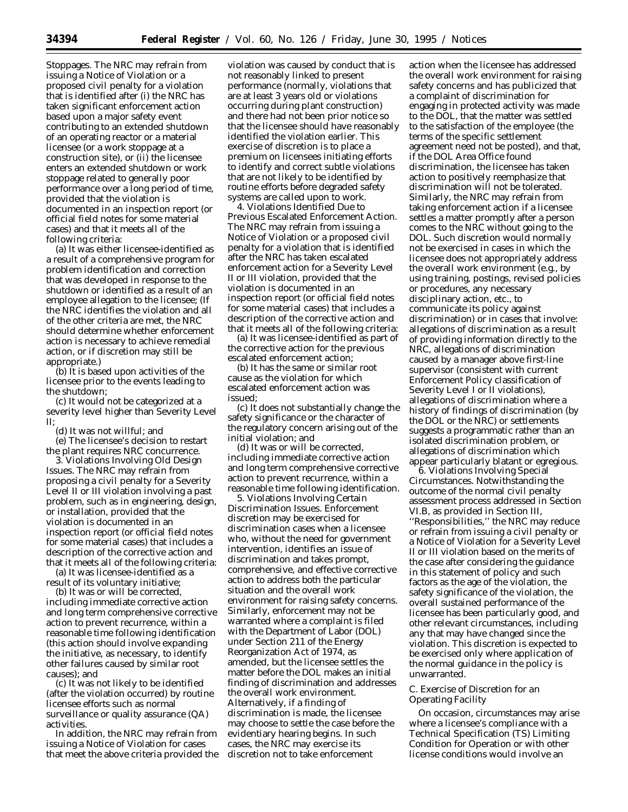Stoppages. The NRC may refrain from issuing a Notice of Violation or a proposed civil penalty for a violation that is identified after (i) the NRC has taken significant enforcement action based upon a major safety event contributing to an extended shutdown of an operating reactor or a material licensee (or a work stoppage at a construction site), or (ii) the licensee enters an extended shutdown or work stoppage related to generally poor performance over a long period of time, provided that the violation is documented in an inspection report (or official field notes for some material cases) and that it meets all of the following criteria:

(a) It was either licensee-identified as a result of a comprehensive program for problem identification and correction that was developed in response to the shutdown or identified as a result of an employee allegation to the licensee; (If the NRC identifies the violation and all of the other criteria are met, the NRC should determine whether enforcement action is necessary to achieve remedial action, or if discretion may still be appropriate.)

(b) It is based upon activities of the licensee prior to the events leading to the shutdown;

(c) It would not be categorized at a severity level higher than Severity Level II;

(d) It was not willful; and

(e) The licensee's decision to restart the plant requires NRC concurrence.

3. Violations Involving Old Design Issues. The NRC may refrain from proposing a civil penalty for a Severity Level II or III violation involving a past problem, such as in engineering, design, or installation, provided that the violation is documented in an inspection report (or official field notes for some material cases) that includes a description of the corrective action and that it meets all of the following criteria:

(a) It was licensee-identified as a result of its voluntary initiative;

(b) It was or will be corrected, including immediate corrective action and long term comprehensive corrective action to prevent recurrence, within a reasonable time following identification (this action should involve expanding the initiative, as necessary, to identify other failures caused by similar root causes); and

(c) It was not likely to be identified (after the violation occurred) by routine licensee efforts such as normal surveillance or quality assurance (QA) activities.

In addition, the NRC may refrain from issuing a Notice of Violation for cases that meet the above criteria provided the

violation was caused by conduct that is not reasonably linked to present performance (normally, violations that are at least 3 years old or violations occurring during plant construction) and there had not been prior notice so that the licensee should have reasonably identified the violation earlier. This exercise of discretion is to place a premium on licensees initiating efforts to identify and correct subtle violations that are not likely to be identified by routine efforts before degraded safety systems are called upon to work.

4. Violations Identified Due to Previous Escalated Enforcement Action. The NRC may refrain from issuing a Notice of Violation or a proposed civil penalty for a violation that is identified after the NRC has taken escalated enforcement action for a Severity Level II or III violation, provided that the violation is documented in an inspection report (or official field notes for some material cases) that includes a description of the corrective action and that it meets all of the following criteria:

(a) It was licensee-identified as part of the corrective action for the previous escalated enforcement action;

(b) It has the same or similar root cause as the violation for which escalated enforcement action was issued;

(c) It does not substantially change the safety significance or the character of the regulatory concern arising out of the initial violation; and

(d) It was or will be corrected, including immediate corrective action and long term comprehensive corrective action to prevent recurrence, within a reasonable time following identification.

5. Violations Involving Certain Discrimination Issues. Enforcement discretion may be exercised for discrimination cases when a licensee who, without the need for government intervention, identifies an issue of discrimination and takes prompt, comprehensive, and effective corrective action to address both the particular situation and the overall work environment for raising safety concerns. Similarly, enforcement may not be warranted where a complaint is filed with the Department of Labor (DOL) under Section 211 of the Energy Reorganization Act of 1974, as amended, but the licensee settles the matter before the DOL makes an initial finding of discrimination and addresses the overall work environment. Alternatively, if a finding of discrimination is made, the licensee may choose to settle the case before the evidentiary hearing begins. In such cases, the NRC may exercise its discretion not to take enforcement

action when the licensee has addressed the overall work environment for raising safety concerns and has publicized that a complaint of discrimination for engaging in protected activity was made to the DOL, that the matter was settled to the satisfaction of the employee (the terms of the specific settlement agreement need not be posted), and that, if the DOL Area Office found discrimination, the licensee has taken action to positively reemphasize that discrimination will not be tolerated. Similarly, the NRC may refrain from taking enforcement action if a licensee settles a matter promptly after a person comes to the NRC without going to the DOL. Such discretion would normally not be exercised in cases in which the licensee does not appropriately address the overall work environment (*e.g.*, by using training, postings, revised policies or procedures, any necessary disciplinary action, etc., to communicate its policy against discrimination) or in cases that involve: allegations of discrimination as a result of providing information directly to the NRC, allegations of discrimination caused by a manager above first-line supervisor (consistent with current Enforcement Policy classification of Severity Level I or II violations), allegations of discrimination where a history of findings of discrimination (by the DOL or the NRC) or settlements suggests a programmatic rather than an isolated discrimination problem, or allegations of discrimination which appear particularly blatant or egregious.

6. Violations Involving Special Circumstances. Notwithstanding the outcome of the normal civil penalty assessment process addressed in Section VI.B, as provided in Section III, ''Responsibilities,'' the NRC may reduce or refrain from issuing a civil penalty or a Notice of Violation for a Severity Level II or III violation based on the merits of the case after considering the guidance in this statement of policy and such factors as the age of the violation, the safety significance of the violation, the overall sustained performance of the licensee has been particularly good, and other relevant circumstances, including any that may have changed since the violation. This discretion is expected to be exercised only where application of the normal guidance in the policy is unwarranted.

# *C. Exercise of Discretion for an Operating Facility*

On occasion, circumstances may arise where a licensee's compliance with a Technical Specification (TS) Limiting Condition for Operation or with other license conditions would involve an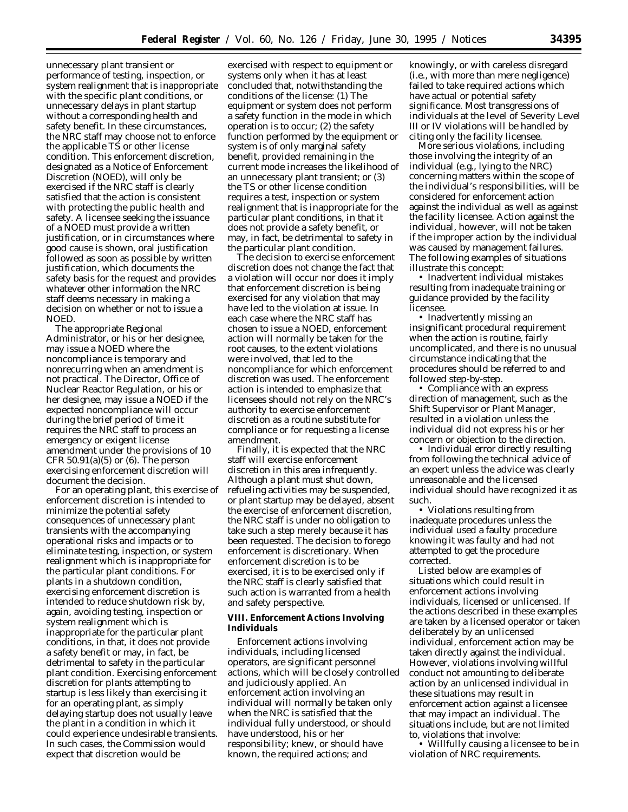unnecessary plant transient or performance of testing, inspection, or system realignment that is inappropriate with the specific plant conditions, or unnecessary delays in plant startup without a corresponding health and safety benefit. In these circumstances, the NRC staff may choose not to enforce the applicable TS or other license condition. This enforcement discretion, designated as a Notice of Enforcement Discretion (NOED), will only be exercised if the NRC staff is clearly satisfied that the action is consistent with protecting the public health and safety. A licensee seeking the issuance of a NOED must provide a written justification, or in circumstances where good cause is shown, oral justification followed as soon as possible by written justification, which documents the safety basis for the request and provides whatever other information the NRC staff deems necessary in making a decision on whether or not to issue a NOED.

The appropriate Regional Administrator, or his or her designee, may issue a NOED where the noncompliance is temporary and nonrecurring when an amendment is not practical. The Director, Office of Nuclear Reactor Regulation, or his or her designee, may issue a NOED if the expected noncompliance will occur during the brief period of time it requires the NRC staff to process an emergency or exigent license amendment under the provisions of 10 CFR  $50.91(a)(5)$  or  $(6)$ . The person exercising enforcement discretion will document the decision.

For an operating plant, this exercise of enforcement discretion is intended to minimize the potential safety consequences of unnecessary plant transients with the accompanying operational risks and impacts or to eliminate testing, inspection, or system realignment which is inappropriate for the particular plant conditions. For plants in a shutdown condition, exercising enforcement discretion is intended to reduce shutdown risk by, again, avoiding testing, inspection or system realignment which is inappropriate for the particular plant conditions, in that, it does not provide a safety benefit or may, in fact, be detrimental to safety in the particular plant condition. Exercising enforcement discretion for plants attempting to startup is less likely than exercising it for an operating plant, as simply delaying startup does not usually leave the plant in a condition in which it could experience undesirable transients. In such cases, the Commission would expect that discretion would be

exercised with respect to equipment or systems only when it has at least concluded that, notwithstanding the conditions of the license: (1) The equipment or system does not perform a safety function in the mode in which operation is to occur; (2) the safety function performed by the equipment or system is of only marginal safety benefit, provided remaining in the current mode increases the likelihood of an unnecessary plant transient; or (3) the TS or other license condition requires a test, inspection or system realignment that is inappropriate for the particular plant conditions, in that it does not provide a safety benefit, or may, in fact, be detrimental to safety in the particular plant condition.

The decision to exercise enforcement discretion does not change the fact that a violation will occur nor does it imply that enforcement discretion is being exercised for any violation that may have led to the violation at issue. In each case where the NRC staff has chosen to issue a NOED, enforcement action will normally be taken for the root causes, to the extent violations were involved, that led to the noncompliance for which enforcement discretion was used. The enforcement action is intended to emphasize that licensees should not rely on the NRC's authority to exercise enforcement discretion as a routine substitute for compliance or for requesting a license amendment.

Finally, it is expected that the NRC staff will exercise enforcement discretion in this area infrequently. Although a plant must shut down, refueling activities may be suspended, or plant startup may be delayed, absent the exercise of enforcement discretion, the NRC staff is under no obligation to take such a step merely because it has been requested. The decision to forego enforcement is discretionary. When enforcement discretion is to be exercised, it is to be exercised only if the NRC staff is clearly satisfied that such action is warranted from a health and safety perspective.

# **VIII. Enforcement Actions Involving Individuals**

Enforcement actions involving individuals, including licensed operators, are significant personnel actions, which will be closely controlled and judiciously applied. An enforcement action involving an individual will normally be taken only when the NRC is satisfied that the individual fully understood, or should have understood, his or her responsibility; knew, or should have known, the required actions; and

knowingly, or with careless disregard (i.e., with more than mere negligence) failed to take required actions which have actual or potential safety significance. Most transgressions of individuals at the level of Severity Level III or IV violations will be handled by citing only the facility licensee.

More serious violations, including those involving the integrity of an individual (e.g., lying to the NRC) concerning matters within the scope of the individual's responsibilities, will be considered for enforcement action against the individual as well as against the facility licensee. Action against the individual, however, will not be taken if the improper action by the individual was caused by management failures. The following examples of situations illustrate this concept:

• Inadvertent individual mistakes resulting from inadequate training or guidance provided by the facility licensee.

• Inadvertently missing an insignificant procedural requirement when the action is routine, fairly uncomplicated, and there is no unusual circumstance indicating that the procedures should be referred to and followed step-by-step.

• Compliance with an express direction of management, such as the Shift Supervisor or Plant Manager, resulted in a violation unless the individual did not express his or her concern or objection to the direction.

• Individual error directly resulting from following the technical advice of an expert unless the advice was clearly unreasonable and the licensed individual should have recognized it as such.

• Violations resulting from inadequate procedures unless the individual used a faulty procedure knowing it was faulty and had not attempted to get the procedure corrected.

Listed below are examples of situations which could result in enforcement actions involving individuals, licensed or unlicensed. If the actions described in these examples are taken by a licensed operator or taken deliberately by an unlicensed individual, enforcement action may be taken directly against the individual. However, violations involving willful conduct not amounting to deliberate action by an unlicensed individual in these situations may result in enforcement action against a licensee that may impact an individual. The situations include, but are not limited to, violations that involve:

• Willfully causing a licensee to be in violation of NRC requirements.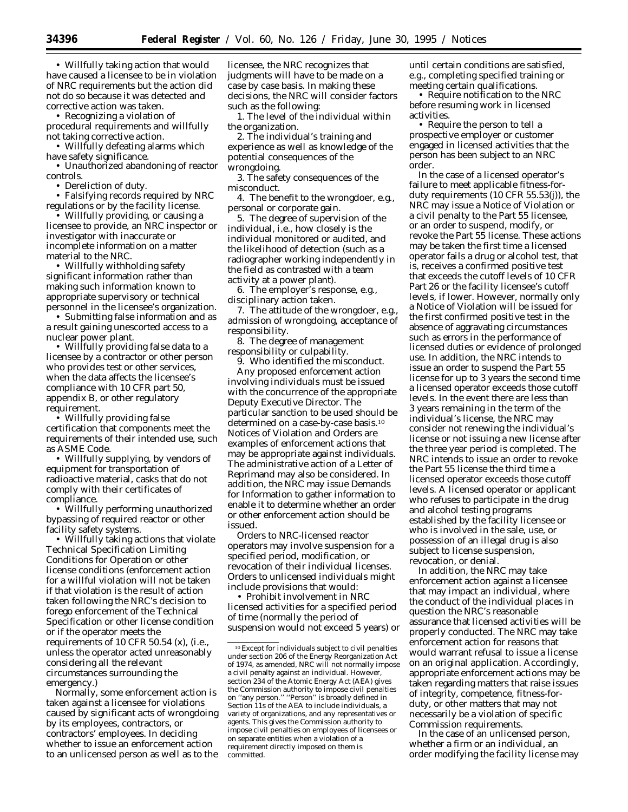• Willfully taking action that would have caused a licensee to be in violation of NRC requirements but the action did not do so because it was detected and corrective action was taken.

• Recognizing a violation of

procedural requirements and willfully not taking corrective action.

• Willfully defeating alarms which have safety significance.

• Unauthorized abandoning of reactor controls.

• Dereliction of duty.

• Falsifying records required by NRC regulations or by the facility license.

• Willfully providing, or causing a licensee to provide, an NRC inspector or investigator with inaccurate or incomplete information on a matter material to the NRC.

• Willfully withholding safety significant information rather than making such information known to appropriate supervisory or technical personnel in the licensee's organization.

• Submitting false information and as a result gaining unescorted access to a nuclear power plant.

• Willfully providing false data to a licensee by a contractor or other person who provides test or other services, when the data affects the licensee's compliance with 10 CFR part 50, appendix B, or other regulatory requirement.

• Willfully providing false certification that components meet the requirements of their intended use, such as ASME Code.

• Willfully supplying, by vendors of equipment for transportation of radioactive material, casks that do not comply with their certificates of compliance.

• Willfully performing unauthorized bypassing of required reactor or other facility safety systems.

• Willfully taking actions that violate Technical Specification Limiting Conditions for Operation or other license conditions (enforcement action for a willful violation will not be taken if that violation is the result of action taken following the NRC's decision to forego enforcement of the Technical Specification or other license condition or if the operator meets the requirements of 10 CFR 50.54 (x), (i.e., unless the operator acted unreasonably considering all the relevant circumstances surrounding the emergency.)

Normally, some enforcement action is taken against a licensee for violations caused by significant acts of wrongdoing by its employees, contractors, or contractors' employees. In deciding whether to issue an enforcement action to an unlicensed person as well as to the

licensee, the NRC recognizes that judgments will have to be made on a case by case basis. In making these decisions, the NRC will consider factors such as the following:

1. The level of the individual within the organization.

2. The individual's training and experience as well as knowledge of the potential consequences of the wrongdoing.

3. The safety consequences of the misconduct.

4. The benefit to the wrongdoer, e.g., personal or corporate gain.

5. The degree of supervision of the individual, i.e., how closely is the individual monitored or audited, and the likelihood of detection (such as a radiographer working independently in the field as contrasted with a team activity at a power plant).

6. The employer's response, e.g., disciplinary action taken.

7. The attitude of the wrongdoer, e.g., admission of wrongdoing, acceptance of responsibility.

8. The degree of management responsibility or culpability.

9. Who identified the misconduct. Any proposed enforcement action involving individuals must be issued with the concurrence of the appropriate Deputy Executive Director. The particular sanction to be used should be determined on a case-by-case basis.10 Notices of Violation and Orders are examples of enforcement actions that may be appropriate against individuals. The administrative action of a Letter of Reprimand may also be considered. In addition, the NRC may issue Demands for Information to gather information to enable it to determine whether an order or other enforcement action should be issued.

Orders to NRC-licensed reactor operators may involve suspension for a specified period, modification, or revocation of their individual licenses. Orders to unlicensed individuals might include provisions that would:

• Prohibit involvement in NRC licensed activities for a specified period of time (normally the period of suspension would not exceed 5 years) or until certain conditions are satisfied, e.g., completing specified training or meeting certain qualifications.

• Require notification to the NRC before resuming work in licensed activities.

• Require the person to tell a prospective employer or customer engaged in licensed activities that the person has been subject to an NRC order.

In the case of a licensed operator's failure to meet applicable fitness-forduty requirements (10 CFR 55.53(j)), the NRC may issue a Notice of Violation or a civil penalty to the Part 55 licensee, or an order to suspend, modify, or revoke the Part 55 license. These actions may be taken the first time a licensed operator fails a drug or alcohol test, that is, receives a confirmed positive test that exceeds the cutoff levels of 10 CFR Part 26 or the facility licensee's cutoff levels, if lower. However, normally only a Notice of Violation will be issued for the first confirmed positive test in the absence of aggravating circumstances such as errors in the performance of licensed duties or evidence of prolonged use. In addition, the NRC intends to issue an order to suspend the Part 55 license for up to 3 years the second time a licensed operator exceeds those cutoff levels. In the event there are less than 3 years remaining in the term of the individual's license, the NRC may consider not renewing the individual's license or not issuing a new license after the three year period is completed. The NRC intends to issue an order to revoke the Part 55 license the third time a licensed operator exceeds those cutoff levels. A licensed operator or applicant who refuses to participate in the drug and alcohol testing programs established by the facility licensee or who is involved in the sale, use, or possession of an illegal drug is also subject to license suspension, revocation, or denial.

In addition, the NRC may take enforcement action against a licensee that may impact an individual, where the conduct of the individual places in question the NRC's reasonable assurance that licensed activities will be properly conducted. The NRC may take enforcement action for reasons that would warrant refusal to issue a license on an original application. Accordingly, appropriate enforcement actions may be taken regarding matters that raise issues of integrity, competence, fitness-forduty, or other matters that may not necessarily be a violation of specific Commission requirements.

In the case of an unlicensed person, whether a firm or an individual, an order modifying the facility license may

<sup>10</sup>Except for individuals subject to civil penalties under section 206 of the Energy Reorganization Act of 1974, as amended, NRC will not normally impose a civil penalty against an individual. However, section 234 of the Atomic Energy Act (AEA) gives the Commission authority to impose civil penalties on ''any person.'' ''Person'' is broadly defined in Section 11s of the AEA to include individuals, a variety of organizations, and any representatives or agents. This gives the Commission authority to impose civil penalties on employees of licensees or on separate entities when a violation of a requirement directly imposed on them is committed.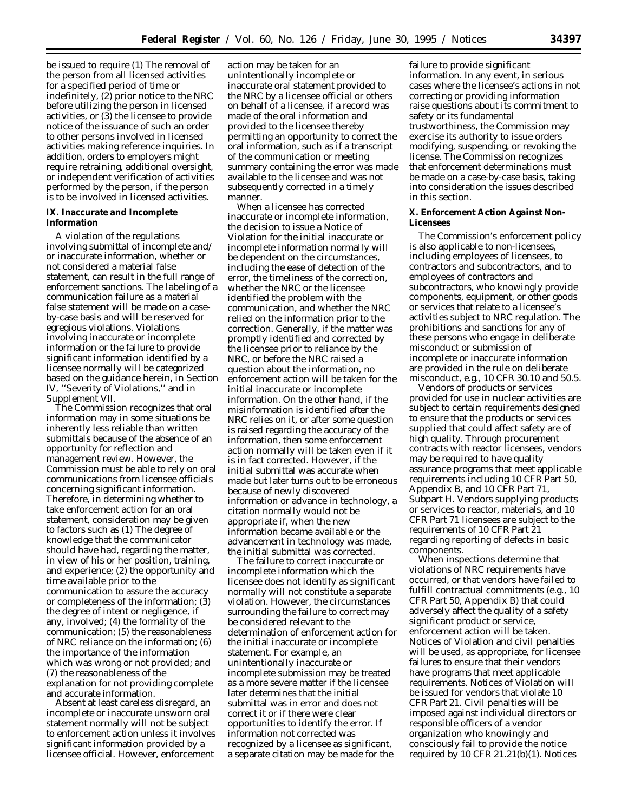be issued to require (1) The removal of the person from all licensed activities for a specified period of time or indefinitely, (2) prior notice to the NRC before utilizing the person in licensed activities, or (3) the licensee to provide notice of the issuance of such an order to other persons involved in licensed activities making reference inquiries. In addition, orders to employers might require retraining, additional oversight, or independent verification of activities performed by the person, if the person is to be involved in licensed activities.

# **IX. Inaccurate and Incomplete Information**

A violation of the regulations involving submittal of incomplete and/ or inaccurate information, whether or not considered a material false statement, can result in the full range of enforcement sanctions. The labeling of a communication failure as a material false statement will be made on a caseby-case basis and will be reserved for egregious violations. Violations involving inaccurate or incomplete information or the failure to provide significant information identified by a licensee normally will be categorized based on the guidance herein, in Section IV, ''Severity of Violations,'' and in Supplement VII.

The Commission recognizes that oral information may in some situations be inherently less reliable than written submittals because of the absence of an opportunity for reflection and management review. However, the Commission must be able to rely on oral communications from licensee officials concerning significant information. Therefore, in determining whether to take enforcement action for an oral statement, consideration may be given to factors such as (1) The degree of knowledge that the communicator should have had, regarding the matter, in view of his or her position, training, and experience; (2) the opportunity and time available prior to the communication to assure the accuracy or completeness of the information; (3) the degree of intent or negligence, if any, involved; (4) the formality of the communication; (5) the reasonableness of NRC reliance on the information; (6) the importance of the information which was wrong or not provided; and (7) the reasonableness of the explanation for not providing complete and accurate information.

Absent at least careless disregard, an incomplete or inaccurate unsworn oral statement normally will not be subject to enforcement action unless it involves significant information provided by a licensee official. However, enforcement

action may be taken for an unintentionally incomplete or inaccurate oral statement provided to the NRC by a licensee official or others on behalf of a licensee, if a record was made of the oral information and provided to the licensee thereby permitting an opportunity to correct the oral information, such as if a transcript of the communication or meeting summary containing the error was made available to the licensee and was not subsequently corrected in a timely manner.

When a licensee has corrected inaccurate or incomplete information, the decision to issue a Notice of Violation for the initial inaccurate or incomplete information normally will be dependent on the circumstances, including the ease of detection of the error, the timeliness of the correction, whether the NRC or the licensee identified the problem with the communication, and whether the NRC relied on the information prior to the correction. Generally, if the matter was promptly identified and corrected by the licensee prior to reliance by the NRC, or before the NRC raised a question about the information, no enforcement action will be taken for the initial inaccurate or incomplete information. On the other hand, if the misinformation is identified after the NRC relies on it, or after some question is raised regarding the accuracy of the information, then some enforcement action normally will be taken even if it is in fact corrected. However, if the initial submittal was accurate when made but later turns out to be erroneous because of newly discovered information or advance in technology, a citation normally would not be appropriate if, when the new information became available or the advancement in technology was made, the initial submittal was corrected.

The failure to correct inaccurate or incomplete information which the licensee does not identify as significant normally will not constitute a separate violation. However, the circumstances surrounding the failure to correct may be considered relevant to the determination of enforcement action for the initial inaccurate or incomplete statement. For example, an unintentionally inaccurate or incomplete submission may be treated as a more severe matter if the licensee later determines that the initial submittal was in error and does not correct it or if there were clear opportunities to identify the error. If information not corrected was recognized by a licensee as significant, a separate citation may be made for the

failure to provide significant information. In any event, in serious cases where the licensee's actions in not correcting or providing information raise questions about its commitment to safety or its fundamental trustworthiness, the Commission may exercise its authority to issue orders modifying, suspending, or revoking the license. The Commission recognizes that enforcement determinations must be made on a case-by-case basis, taking into consideration the issues described in this section.

## **X. Enforcement Action Against Non-Licensees**

The Commission's enforcement policy is also applicable to non-licensees, including employees of licensees, to contractors and subcontractors, and to employees of contractors and subcontractors, who knowingly provide components, equipment, or other goods or services that relate to a licensee's activities subject to NRC regulation. The prohibitions and sanctions for any of these persons who engage in deliberate misconduct or submission of incomplete or inaccurate information are provided in the rule on deliberate misconduct, e.g., 10 CFR 30.10 and 50.5.

Vendors of products or services provided for use in nuclear activities are subject to certain requirements designed to ensure that the products or services supplied that could affect safety are of high quality. Through procurement contracts with reactor licensees, vendors may be required to have quality assurance programs that meet applicable requirements including 10 CFR Part 50, Appendix B, and 10 CFR Part 71, Subpart H. Vendors supplying products or services to reactor, materials, and 10 CFR Part 71 licensees are subject to the requirements of 10 CFR Part 21 regarding reporting of defects in basic components.

When inspections determine that violations of NRC requirements have occurred, or that vendors have failed to fulfill contractual commitments (e.g., 10 CFR Part 50, Appendix B) that could adversely affect the quality of a safety significant product or service, enforcement action will be taken. Notices of Violation and civil penalties will be used, as appropriate, for licensee failures to ensure that their vendors have programs that meet applicable requirements. Notices of Violation will be issued for vendors that violate 10 CFR Part 21. Civil penalties will be imposed against individual directors or responsible officers of a vendor organization who knowingly and consciously fail to provide the notice required by 10 CFR 21.21(b)(1). Notices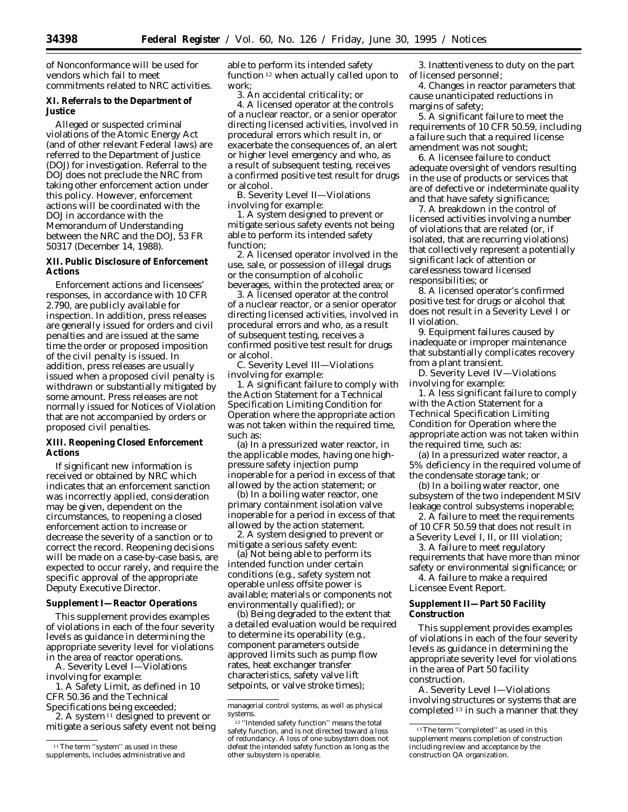of Nonconformance will be used for vendors which fail to meet commitments related to NRC activities.

# **XI. Referrals to the Department of Justice**

Alleged or suspected criminal violations of the Atomic Energy Act (and of other relevant Federal laws) are referred to the Department of Justice (DOJ) for investigation. Referral to the DOJ does not preclude the NRC from taking other enforcement action under this policy. However, enforcement actions will be coordinated with the DOJ in accordance with the Memorandum of Understanding between the NRC and the DOJ, 53 FR 50317 (December 14, 1988).

# **XII. Public Disclosure of Enforcement Actions**

Enforcement actions and licensees' responses, in accordance with 10 CFR 2.790, are publicly available for inspection. In addition, press releases are generally issued for orders and civil penalties and are issued at the same time the order or proposed imposition of the civil penalty is issued. In addition, press releases are usually issued when a proposed civil penalty is withdrawn or substantially mitigated by some amount. Press releases are not normally issued for Notices of Violation that are not accompanied by orders or proposed civil penalties.

### **XIII. Reopening Closed Enforcement Actions**

If significant new information is received or obtained by NRC which indicates that an enforcement sanction was incorrectly applied, consideration may be given, dependent on the circumstances, to reopening a closed enforcement action to increase or decrease the severity of a sanction or to correct the record. Reopening decisions will be made on a case-by-case basis, are expected to occur rarely, and require the specific approval of the appropriate Deputy Executive Director.

# **Supplement I—Reactor Operations**

This supplement provides examples of violations in each of the four severity levels as guidance in determining the appropriate severity level for violations in the area of reactor operations.

A. Severity Level I—Violations involving for example:

1. A Safety Limit, as defined in 10 CFR 50.36 and the Technical Specifications being exceeded;

2. A system 11 designed to prevent or mitigate a serious safety event not being able to perform its intended safety function 12 when actually called upon to work;

3. An accidental criticality; or

4. A licensed operator at the controls of a nuclear reactor, or a senior operator directing licensed activities, involved in procedural errors which result in, or exacerbate the consequences of, an alert or higher level emergency and who, as a result of subsequent testing, receives a confirmed positive test result for drugs or alcohol.

B. Severity Level II—Violations involving for example:

1. A system designed to prevent or mitigate serious safety events not being able to perform its intended safety function;

2. A licensed operator involved in the use, sale, or possession of illegal drugs or the consumption of alcoholic beverages, within the protected area; or

3. A licensed operator at the control of a nuclear reactor, or a senior operator directing licensed activities, involved in procedural errors and who, as a result of subsequent testing, receives a confirmed positive test result for drugs or alcohol.

C. Severity Level III—Violations involving for example:

1. A significant failure to comply with the Action Statement for a Technical Specification Limiting Condition for Operation where the appropriate action was not taken within the required time, such as:

(a) In a pressurized water reactor, in the applicable modes, having one highpressure safety injection pump inoperable for a period in excess of that allowed by the action statement; or

(b) In a boiling water reactor, one primary containment isolation valve inoperable for a period in excess of that allowed by the action statement.

2. A system designed to prevent or mitigate a serious safety event:

(a) Not being able to perform its intended function under certain conditions (e.g., safety system not operable unless offsite power is available; materials or components not environmentally qualified); or

(b) Being degraded to the extent that a detailed evaluation would be required to determine its operability (e.g., component parameters outside approved limits such as pump flow rates, heat exchanger transfer characteristics, safety valve lift setpoints, or valve stroke times);

3. Inattentiveness to duty on the part of licensed personnel;

4. Changes in reactor parameters that cause unanticipated reductions in margins of safety;

5. A significant failure to meet the requirements of 10 CFR 50.59, including a failure such that a required license amendment was not sought;

6. A licensee failure to conduct adequate oversight of vendors resulting in the use of products or services that are of defective or indeterminate quality and that have safety significance;

7. A breakdown in the control of licensed activities involving a number of violations that are related (or, if isolated, that are recurring violations) that collectively represent a potentially significant lack of attention or carelessness toward licensed responsibilities; or

8. A licensed operator's confirmed positive test for drugs or alcohol that does not result in a Severity Level I or II violation.

9. Equipment failures caused by inadequate or improper maintenance that substantially complicates recovery from a plant transient.

D. Severity Level IV—Violations involving for example:

1. A less significant failure to comply with the Action Statement for a Technical Specification Limiting Condition for Operation where the appropriate action was not taken within the required time, such as:

(a) In a pressurized water reactor, a 5% deficiency in the required volume of the condensate storage tank; or

(b) In a boiling water reactor, one subsystem of the two independent MSIV leakage control subsystems inoperable;

2. A failure to meet the requirements of 10 CFR 50.59 that does not result in a Severity Level I, II, or III violation;

3. A failure to meet regulatory requirements that have more than minor safety or environmental significance; or 4. A failure to make a required

Licensee Event Report.

# **Supplement II—Part 50 Facility Construction**

This supplement provides examples of violations in each of the four severity levels as guidance in determining the appropriate severity level for violations in the area of Part 50 facility construction.

A. Severity Level I—Violations involving structures or systems that are completed 13 in such a manner that they

<sup>&</sup>lt;sup>11</sup>The term "system" as used in these supplements, includes administrative and

managerial control systems, as well as physical systems.

<sup>12</sup> ''Intended safety function'' means the total safety function, and is not directed toward a loss of redundancy. A loss of one subsystem does not defeat the intended safety function as long as the other subsystem is operable.

<sup>13</sup>The term ''completed'' as used in this supplement means completion of construction including review and acceptance by the construction QA organization.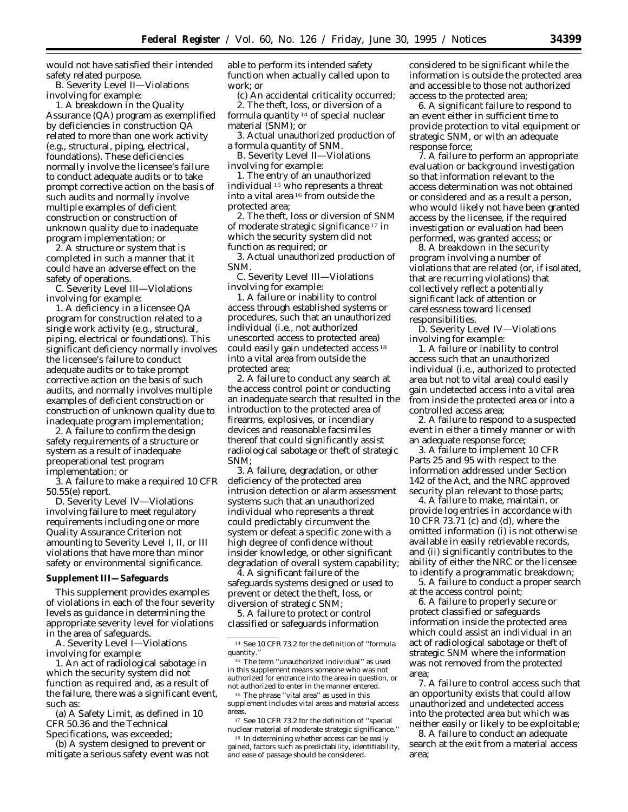would not have satisfied their intended safety related purpose.

B. Severity Level II—Violations involving for example:

1. A breakdown in the Quality Assurance (QA) program as exemplified by deficiencies in construction QA related to more than one work activity (e.g., structural, piping, electrical, foundations). These deficiencies normally involve the licensee's failure to conduct adequate audits or to take prompt corrective action on the basis of such audits and normally involve multiple examples of deficient construction or construction of unknown quality due to inadequate program implementation; or

2. A structure or system that is completed in such a manner that it could have an adverse effect on the safety of operations.

C. Severity Level III—Violations involving for example:

1. A deficiency in a licensee QA program for construction related to a single work activity (e.g., structural, piping, electrical or foundations). This significant deficiency normally involves the licensee's failure to conduct adequate audits or to take prompt corrective action on the basis of such audits, and normally involves multiple examples of deficient construction or construction of unknown quality due to inadequate program implementation;

2. A failure to confirm the design safety requirements of a structure or system as a result of inadequate preoperational test program implementation; or

3. A failure to make a required 10 CFR 50.55(e) report.

D. Severity Level IV—Violations involving failure to meet regulatory requirements including one or more Quality Assurance Criterion not amounting to Severity Level I, II, or III violations that have more than minor safety or environmental significance.

### **Supplement III—Safeguards**

This supplement provides examples of violations in each of the four severity levels as guidance in determining the appropriate severity level for violations in the area of safeguards.

A. Severity Level I—Violations involving for example:

1. An act of radiological sabotage in which the security system did not function as required and, as a result of the failure, there was a significant event, such as:

(a) A Safety Limit, as defined in 10 CFR 50.36 and the Technical Specifications, was exceeded;

(b) A system designed to prevent or mitigate a serious safety event was not able to perform its intended safety function when actually called upon to work; or

(c) An accidental criticality occurred; 2. The theft, loss, or diversion of a formula quantity 14 of special nuclear material (SNM); or

3. Actual unauthorized production of a formula quantity of SNM.

B. Severity Level II—Violations involving for example:

1. The entry of an unauthorized individual 15 who represents a threat into a vital area 16 from outside the protected area;

2. The theft, loss or diversion of SNM of moderate strategic significance 17 in which the security system did not function as required; or

3. Actual unauthorized production of SNM.

C. Severity Level III—Violations involving for example:

1. A failure or inability to control access through established systems or procedures, such that an unauthorized individual (i.e., not authorized unescorted access to protected area) could easily gain undetected access 18 into a vital area from outside the protected area;

2. A failure to conduct any search at the access control point or conducting an inadequate search that resulted in the introduction to the protected area of firearms, explosives, or incendiary devices and reasonable facsimiles thereof that could significantly assist radiological sabotage or theft of strategic SNM;

3. A failure, degradation, or other deficiency of the protected area intrusion detection or alarm assessment systems such that an unauthorized individual who represents a threat could predictably circumvent the system or defeat a specific zone with a high degree of confidence without insider knowledge, or other significant degradation of overall system capability;

4. A significant failure of the safeguards systems designed or used to prevent or detect the theft, loss, or diversion of strategic SNM;

5. A failure to protect or control classified or safeguards information

15 The term ''unauthorized individual'' as used in this supplement means someone who was not authorized for entrance into the area in question, or not authorized to enter in the manner entered.

16 The phrase ''vital area'' as used in this supplement includes vital areas and material access areas.

17 See 10 CFR 73.2 for the definition of ''special nuclear material of moderate strategic significance.''

<sup>18</sup> In determining whether access can be easily gained, factors such as predictability, identifiability, and ease of passage should be considered.

considered to be significant while the information is outside the protected area and accessible to those not authorized access to the protected area;

6. A significant failure to respond to an event either in sufficient time to provide protection to vital equipment or strategic SNM, or with an adequate response force;

7. A failure to perform an appropriate evaluation or background investigation so that information relevant to the access determination was not obtained or considered and as a result a person, who would likely not have been granted access by the licensee, if the required investigation or evaluation had been performed, was granted access; or

8. A breakdown in the security program involving a number of violations that are related (or, if isolated, that are recurring violations) that collectively reflect a potentially significant lack of attention or carelessness toward licensed responsibilities.

D. Severity Level IV—Violations involving for example:

1. A failure or inability to control access such that an unauthorized individual (i.e., authorized to protected area but not to vital area) could easily gain undetected access into a vital area from inside the protected area or into a controlled access area;

2. A failure to respond to a suspected event in either a timely manner or with an adequate response force;

3. A failure to implement 10 CFR Parts 25 and 95 with respect to the information addressed under Section 142 of the Act, and the NRC approved security plan relevant to those parts;

4. A failure to make, maintain, or provide log entries in accordance with 10 CFR 73.71 (c) and (d), where the omitted information (i) is not otherwise available in easily retrievable records, and (ii) significantly contributes to the ability of either the NRC or the licensee to identify a programmatic breakdown;

5. A failure to conduct a proper search at the access control point;

6. A failure to properly secure or protect classified or safeguards information inside the protected area which could assist an individual in an act of radiological sabotage or theft of strategic SNM where the information was not removed from the protected area;

7. A failure to control access such that an opportunity exists that could allow unauthorized and undetected access into the protected area but which was neither easily or likely to be exploitable;

8. A failure to conduct an adequate search at the exit from a material access area;

<sup>14</sup> See 10 CFR 73.2 for the definition of ''formula quantity.''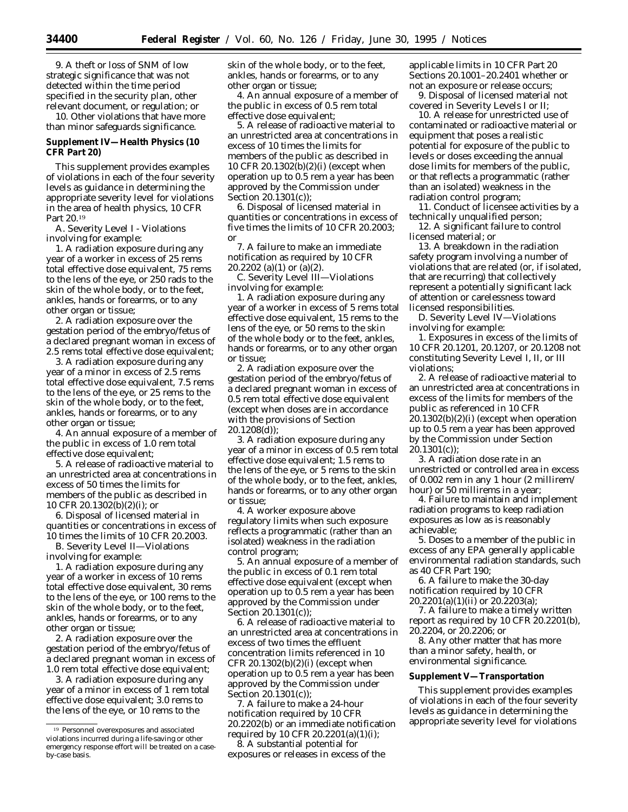9. A theft or loss of SNM of low strategic significance that was not detected within the time period specified in the security plan, other relevant document, or regulation; or

10. Other violations that have more than minor safeguards significance.

# **Supplement IV—Health Physics (10 CFR Part 20)**

This supplement provides examples of violations in each of the four severity levels as guidance in determining the appropriate severity level for violations in the area of health physics, 10 CFR Part 20.19

A. Severity Level I - Violations involving for example:

1. A radiation exposure during any year of a worker in excess of 25 rems total effective dose equivalent, 75 rems to the lens of the eye, or 250 rads to the skin of the whole body, or to the feet, ankles, hands or forearms, or to any other organ or tissue;

2. A radiation exposure over the gestation period of the embryo/fetus of a declared pregnant woman in excess of 2.5 rems total effective dose equivalent;

3. A radiation exposure during any year of a minor in excess of 2.5 rems total effective dose equivalent, 7.5 rems to the lens of the eye, or 25 rems to the skin of the whole body, or to the feet, ankles, hands or forearms, or to any other organ or tissue;

4. An annual exposure of a member of the public in excess of 1.0 rem total effective dose equivalent;

5. A release of radioactive material to an unrestricted area at concentrations in excess of 50 times the limits for members of the public as described in 10 CFR 20.1302(b)(2)(i); or

6. Disposal of licensed material in quantities or concentrations in excess of 10 times the limits of 10 CFR 20.2003.

B. Severity Level II—Violations involving for example:

1. A radiation exposure during any year of a worker in excess of 10 rems total effective dose equivalent, 30 rems to the lens of the eye, or 100 rems to the skin of the whole body, or to the feet, ankles, hands or forearms, or to any other organ or tissue;

2. A radiation exposure over the gestation period of the embryo/fetus of a declared pregnant woman in excess of 1.0 rem total effective dose equivalent;

3. A radiation exposure during any year of a minor in excess of 1 rem total effective dose equivalent; 3.0 rems to the lens of the eye, or 10 rems to the

skin of the whole body, or to the feet, ankles, hands or forearms, or to any other organ or tissue;

4. An annual exposure of a member of the public in excess of 0.5 rem total effective dose equivalent;

5. A release of radioactive material to an unrestricted area at concentrations in excess of 10 times the limits for members of the public as described in 10 CFR 20.1302(b)(2)(i) (except when operation up to 0.5 rem a year has been approved by the Commission under Section 20.1301(c));

6. Disposal of licensed material in quantities or concentrations in excess of five times the limits of 10 CFR 20.2003; or

7. A failure to make an immediate notification as required by 10 CFR 20.2202 (a)(1) or (a)(2).

C. Severity Level III—Violations involving for example:

1. A radiation exposure during any year of a worker in excess of 5 rems total effective dose equivalent, 15 rems to the lens of the eye, or 50 rems to the skin of the whole body or to the feet, ankles, hands or forearms, or to any other organ or tissue;

2. A radiation exposure over the gestation period of the embryo/fetus of a declared pregnant woman in excess of 0.5 rem total effective dose equivalent (except when doses are in accordance with the provisions of Section 20.1208(d));

3. A radiation exposure during any year of a minor in excess of 0.5 rem total effective dose equivalent; 1.5 rems to the lens of the eye, or 5 rems to the skin of the whole body, or to the feet, ankles, hands or forearms, or to any other organ or tissue;

4. A worker exposure above regulatory limits when such exposure reflects a programmatic (rather than an isolated) weakness in the radiation control program;

5. An annual exposure of a member of the public in excess of 0.1 rem total effective dose equivalent (except when operation up to 0.5 rem a year has been approved by the Commission under Section 20.1301(c));

6. A release of radioactive material to an unrestricted area at concentrations in excess of two times the effluent concentration limits referenced in 10 CFR  $20.1302(b)(2)(i)$  (except when operation up to 0.5 rem a year has been approved by the Commission under Section 20.1301(c));

7. A failure to make a 24-hour notification required by 10 CFR 20.2202(b) or an immediate notification required by 10 CFR 20.2201(a)(1)(i);

8. A substantial potential for exposures or releases in excess of the applicable limits in 10 CFR Part 20 Sections 20.1001–20.2401 whether or not an exposure or release occurs;

9. Disposal of licensed material not covered in Severity Levels I or II;

10. A release for unrestricted use of contaminated or radioactive material or equipment that poses a realistic potential for exposure of the public to levels or doses exceeding the annual dose limits for members of the public, or that reflects a programmatic (rather than an isolated) weakness in the radiation control program;

11. Conduct of licensee activities by a technically unqualified person;

12. A significant failure to control licensed material; or

13. A breakdown in the radiation safety program involving a number of violations that are related (or, if isolated, that are recurring) that collectively represent a potentially significant lack of attention or carelessness toward licensed responsibilities.

D. Severity Level IV—Violations involving for example:

1. Exposures in excess of the limits of 10 CFR 20.1201, 20.1207, or 20.1208 not constituting Severity Level I, II, or III violations;

2. A release of radioactive material to an unrestricted area at concentrations in excess of the limits for members of the public as referenced in 10 CFR 20.1302(b)(2)(i) (except when operation up to 0.5 rem a year has been approved by the Commission under Section  $20.1301(c)$ :

3. A radiation dose rate in an unrestricted or controlled area in excess of 0.002 rem in any 1 hour (2 millirem/ hour) or 50 millirems in a year;

4. Failure to maintain and implement radiation programs to keep radiation exposures as low as is reasonably achievable;

5. Doses to a member of the public in excess of any EPA generally applicable environmental radiation standards, such as 40 CFR Part 190;

6. A failure to make the 30-day notification required by 10 CFR 20.2201(a)(1)(ii) or 20.2203(a);

7. A failure to make a timely written report as required by 10 CFR 20.2201(b), 20.2204, or 20.2206; or

8. Any other matter that has more than a minor safety, health, or environmental significance.

# **Supplement V—Transportation**

This supplement provides examples of violations in each of the four severity levels as guidance in determining the appropriate severity level for violations

<sup>19</sup> Personnel overexposures and associated violations incurred during a life-saving or other emergency response effort will be treated on a caseby-case basis.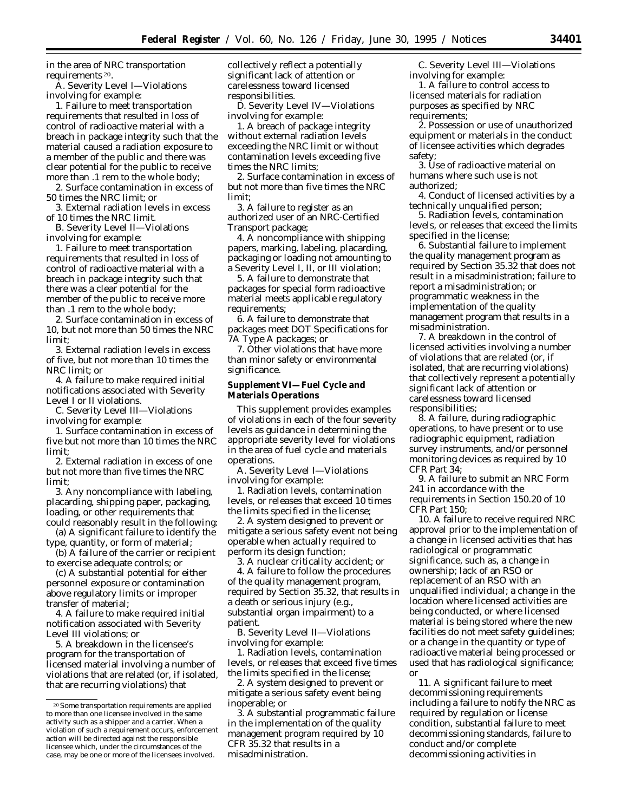in the area of NRC transportation requirements 20.

A. Severity Level I—Violations involving for example:

1. Failure to meet transportation requirements that resulted in loss of control of radioactive material with a breach in package integrity such that the material caused a radiation exposure to a member of the public and there was clear potential for the public to receive more than .1 rem to the whole body;

2. Surface contamination in excess of 50 times the NRC limit; or

3. External radiation levels in excess of 10 times the NRC limit.

B. Severity Level II—Violations involving for example:

1. Failure to meet transportation requirements that resulted in loss of control of radioactive material with a breach in package integrity such that there was a clear potential for the member of the public to receive more than .1 rem to the whole body;

2. Surface contamination in excess of 10, but not more than 50 times the NRC limit;

3. External radiation levels in excess of five, but not more than 10 times the NRC limit; or

4. A failure to make required initial notifications associated with Severity Level I or II violations.

C. Severity Level III—Violations involving for example:

1. Surface contamination in excess of five but not more than 10 times the NRC limit;

2. External radiation in excess of one but not more than five times the NRC limit;

3. Any noncompliance with labeling, placarding, shipping paper, packaging, loading, or other requirements that could reasonably result in the following:

(a) A significant failure to identify the type, quantity, or form of material;

(b) A failure of the carrier or recipient to exercise adequate controls; or

(c) A substantial potential for either personnel exposure or contamination above regulatory limits or improper transfer of material;

4. A failure to make required initial notification associated with Severity Level III violations; or

5. A breakdown in the licensee's program for the transportation of licensed material involving a number of violations that are related (or, if isolated, that are recurring violations) that

collectively reflect a potentially significant lack of attention or carelessness toward licensed responsibilities.

D. Severity Level IV—Violations involving for example:

1. A breach of package integrity without external radiation levels exceeding the NRC limit or without contamination levels exceeding five times the NRC limits;

2. Surface contamination in excess of but not more than five times the NRC limit;

3. A failure to register as an authorized user of an NRC-Certified Transport package;

4. A noncompliance with shipping papers, marking, labeling, placarding, packaging or loading not amounting to a Severity Level I, II, or III violation;

5. A failure to demonstrate that packages for special form radioactive material meets applicable regulatory requirements;

6. A failure to demonstrate that packages meet DOT Specifications for 7A Type A packages; or

7. Other violations that have more than minor safety or environmental significance.

# **Supplement VI—Fuel Cycle and Materials Operations**

This supplement provides examples of violations in each of the four severity levels as guidance in determining the appropriate severity level for violations in the area of fuel cycle and materials operations.

A. Severity Level I—Violations involving for example:

1. Radiation levels, contamination levels, or releases that exceed 10 times the limits specified in the license;

2. A system designed to prevent or mitigate a serious safety event not being operable when actually required to perform its design function;

3. A nuclear criticality accident; or

4. A failure to follow the procedures of the quality management program, required by Section 35.32, that results in a death or serious injury (e.g., substantial organ impairment) to a patient.

B. Severity Level II—Violations involving for example:

1. Radiation levels, contamination levels, or releases that exceed five times the limits specified in the license;

2. A system designed to prevent or mitigate a serious safety event being inoperable; or

3. A substantial programmatic failure in the implementation of the quality management program required by 10 CFR 35.32 that results in a misadministration.

C. Severity Level III—Violations involving for example:

1. A failure to control access to licensed materials for radiation purposes as specified by NRC requirements;

2. Possession or use of unauthorized equipment or materials in the conduct of licensee activities which degrades safety;

3. Use of radioactive material on humans where such use is not authorized;

4. Conduct of licensed activities by a technically unqualified person;

5. Radiation levels, contamination levels, or releases that exceed the limits specified in the license;

6. Substantial failure to implement the quality management program as required by Section 35.32 that does not result in a misadministration; failure to report a misadministration; or programmatic weakness in the implementation of the quality management program that results in a misadministration.

7. A breakdown in the control of licensed activities involving a number of violations that are related (or, if isolated, that are recurring violations) that collectively represent a potentially significant lack of attention or carelessness toward licensed responsibilities;

8. A failure, during radiographic operations, to have present or to use radiographic equipment, radiation survey instruments, and/or personnel monitoring devices as required by 10 CFR Part 34;

9. A failure to submit an NRC Form 241 in accordance with the requirements in Section 150.20 of 10 CFR Part 150;

10. A failure to receive required NRC approval prior to the implementation of a change in licensed activities that has radiological or programmatic significance, such as, a change in ownership; lack of an RSO or replacement of an RSO with an unqualified individual; a change in the location where licensed activities are being conducted, or where licensed material is being stored where the new facilities do not meet safety guidelines; or a change in the quantity or type of radioactive material being processed or used that has radiological significance; or

11. A significant failure to meet decommissioning requirements including a failure to notify the NRC as required by regulation or license condition, substantial failure to meet decommissioning standards, failure to conduct and/or complete decommissioning activities in

<sup>20</sup>Some transportation requirements are applied to more than one licensee involved in the same activity such as a shipper and a carrier. When a violation of such a requirement occurs, enforcement action will be directed against the responsible licensee which, under the circumstances of the case, may be one or more of the licensees involved.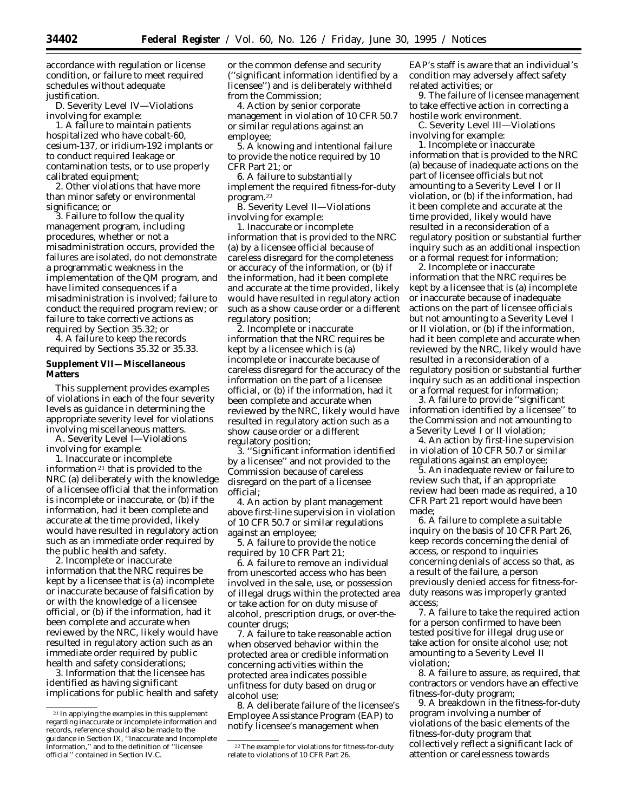accordance with regulation or license condition, or failure to meet required schedules without adequate justification.

D. Severity Level IV—Violations involving for example:

1. A failure to maintain patients hospitalized who have cobalt-60, cesium-137, or iridium-192 implants or to conduct required leakage or contamination tests, or to use properly calibrated equipment;

2. Other violations that have more than minor safety or environmental significance; or

3. Failure to follow the quality management program, including procedures, whether or not a misadministration occurs, provided the failures are isolated, do not demonstrate a programmatic weakness in the implementation of the QM program, and have limited consequences if a misadministration is involved; failure to conduct the required program review; or failure to take corrective actions as required by Section 35.32; or

4. A failure to keep the records required by Sections 35.32 or 35.33.

### **Supplement VII—Miscellaneous Matters**

This supplement provides examples of violations in each of the four severity levels as guidance in determining the appropriate severity level for violations involving miscellaneous matters.

A. Severity Level I—Violations involving for example:

1. Inaccurate or incomplete information 21 that is provided to the NRC (a) deliberately with the knowledge of a licensee official that the information is incomplete or inaccurate, or (b) if the information, had it been complete and accurate at the time provided, likely would have resulted in regulatory action such as an immediate order required by the public health and safety.

2. Incomplete or inaccurate information that the NRC requires be kept by a licensee that is (a) incomplete or inaccurate because of falsification by or with the knowledge of a licensee official, or (b) if the information, had it been complete and accurate when reviewed by the NRC, likely would have resulted in regulatory action such as an immediate order required by public health and safety considerations;

3. Information that the licensee has identified as having significant implications for public health and safety or the common defense and security (''significant information identified by a licensee'') and is deliberately withheld from the Commission;

4. Action by senior corporate management in violation of 10 CFR 50.7 or similar regulations against an employee;

5. A knowing and intentional failure to provide the notice required by 10 CFR Part 21; or

6. A failure to substantially implement the required fitness-for-duty program.22

B. Severity Level II—Violations involving for example:

1. Inaccurate or incomplete information that is provided to the NRC (a) by a licensee official because of careless disregard for the completeness or accuracy of the information, or (b) if the information, had it been complete and accurate at the time provided, likely would have resulted in regulatory action such as a show cause order or a different regulatory position;

2. Incomplete or inaccurate information that the NRC requires be kept by a licensee which is (a) incomplete or inaccurate because of careless disregard for the accuracy of the information on the part of a licensee official, or (b) if the information, had it been complete and accurate when reviewed by the NRC, likely would have resulted in regulatory action such as a show cause order or a different regulatory position;

3. ''Significant information identified by a licensee'' and not provided to the Commission because of careless disregard on the part of a licensee official;

4. An action by plant management above first-line supervision in violation of 10 CFR 50.7 or similar regulations against an employee;

5. A failure to provide the notice required by 10 CFR Part 21;

6. A failure to remove an individual from unescorted access who has been involved in the sale, use, or possession of illegal drugs within the protected area or take action for on duty misuse of alcohol, prescription drugs, or over-thecounter drugs;

7. A failure to take reasonable action when observed behavior within the protected area or credible information concerning activities within the protected area indicates possible unfitness for duty based on drug or alcohol use;

8. A deliberate failure of the licensee's Employee Assistance Program (EAP) to notify licensee's management when

EAP's staff is aware that an individual's condition may adversely affect safety related activities; or

9. The failure of licensee management to take effective action in correcting a hostile work environment.

C. Severity Level III—Violations involving for example:

1. Incomplete or inaccurate information that is provided to the NRC (a) because of inadequate actions on the part of licensee officials but not amounting to a Severity Level I or II violation, or (b) if the information, had it been complete and accurate at the time provided, likely would have resulted in a reconsideration of a regulatory position or substantial further inquiry such as an additional inspection or a formal request for information;

2. Incomplete or inaccurate information that the NRC requires be kept by a licensee that is (a) incomplete or inaccurate because of inadequate actions on the part of licensee officials but not amounting to a Severity Level I or II violation, or (b) if the information, had it been complete and accurate when reviewed by the NRC, likely would have resulted in a reconsideration of a regulatory position or substantial further inquiry such as an additional inspection or a formal request for information;

3. A failure to provide ''significant information identified by a licensee'' to the Commission and not amounting to a Severity Level I or II violation;

4. An action by first-line supervision in violation of 10 CFR 50.7 or similar regulations against an employee;

5. An inadequate review or failure to review such that, if an appropriate review had been made as required, a 10 CFR Part 21 report would have been made;

6. A failure to complete a suitable inquiry on the basis of 10 CFR Part 26, keep records concerning the denial of access, or respond to inquiries concerning denials of access so that, as a result of the failure, a person previously denied access for fitness-forduty reasons was improperly granted access;

7. A failure to take the required action for a person confirmed to have been tested positive for illegal drug use or take action for onsite alcohol use; not amounting to a Severity Level II violation;

8. A failure to assure, as required, that contractors or vendors have an effective fitness-for-duty program;

9. A breakdown in the fitness-for-duty program involving a number of violations of the basic elements of the fitness-for-duty program that collectively reflect a significant lack of attention or carelessness towards

<sup>21</sup> In applying the examples in this supplement regarding inaccurate or incomplete information and records, reference should also be made to the guidance in Section IX, ''Inaccurate and Incomplete Information,'' and to the definition of ''licensee official'' contained in Section IV.C.

<sup>22</sup>The example for violations for fitness-for-duty relate to violations of 10 CFR Part 26.